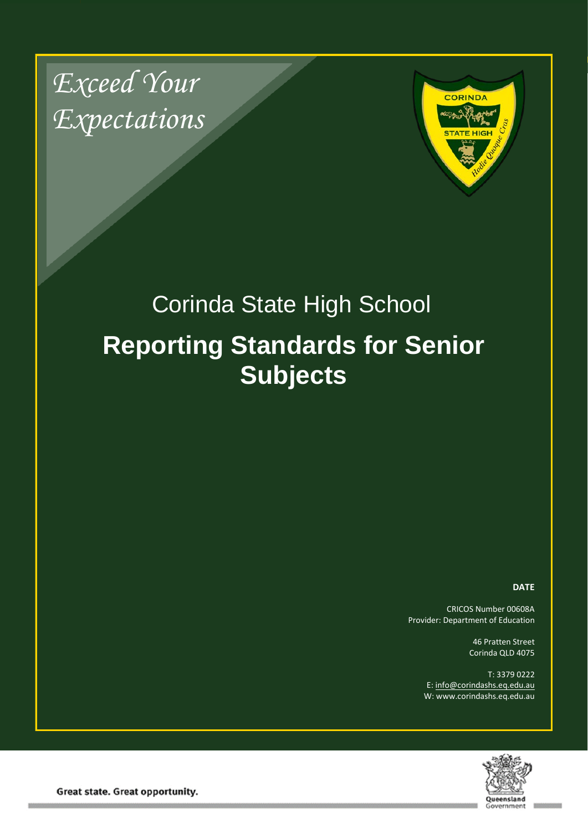*Exceed Your Expectations*



# Corinda State High School **Reporting Standards for Senior Subjects**

#### **DATE**

CRICOS Number 00608A Provider: Department of Education

> 46 Pratten Street Corinda QLD 4075

T: 3379 0222 E: [info@corindashs.eq.edu.au](mailto:info@corindashs.eq.edu.au) W: www.corindashs.eq.edu.au



Great state. Great opportunity.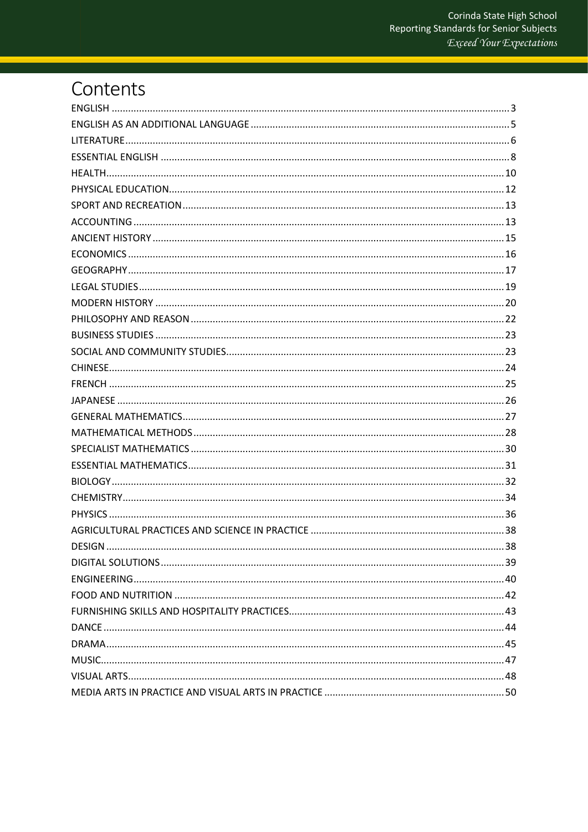# Contents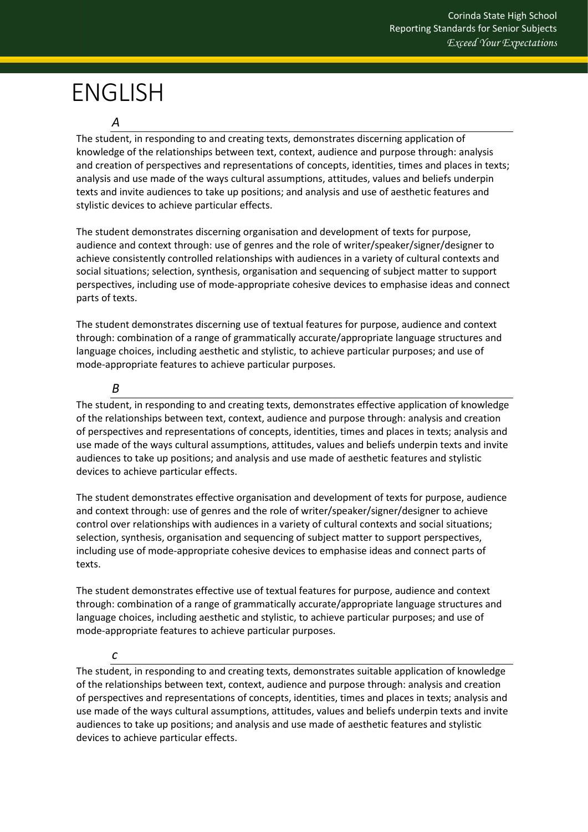# <span id="page-2-0"></span>ENGLISH

### *A*

The student, in responding to and creating texts, demonstrates discerning application of knowledge of the relationships between text, context, audience and purpose through: analysis and creation of perspectives and representations of concepts, identities, times and places in texts; analysis and use made of the ways cultural assumptions, attitudes, values and beliefs underpin texts and invite audiences to take up positions; and analysis and use of aesthetic features and stylistic devices to achieve particular effects.

The student demonstrates discerning organisation and development of texts for purpose, audience and context through: use of genres and the role of writer/speaker/signer/designer to achieve consistently controlled relationships with audiences in a variety of cultural contexts and social situations; selection, synthesis, organisation and sequencing of subject matter to support perspectives, including use of mode-appropriate cohesive devices to emphasise ideas and connect parts of texts.

The student demonstrates discerning use of textual features for purpose, audience and context through: combination of a range of grammatically accurate/appropriate language structures and language choices, including aesthetic and stylistic, to achieve particular purposes; and use of mode-appropriate features to achieve particular purposes.

### *B*

The student, in responding to and creating texts, demonstrates effective application of knowledge of the relationships between text, context, audience and purpose through: analysis and creation of perspectives and representations of concepts, identities, times and places in texts; analysis and use made of the ways cultural assumptions, attitudes, values and beliefs underpin texts and invite audiences to take up positions; and analysis and use made of aesthetic features and stylistic devices to achieve particular effects.

The student demonstrates effective organisation and development of texts for purpose, audience and context through: use of genres and the role of writer/speaker/signer/designer to achieve control over relationships with audiences in a variety of cultural contexts and social situations; selection, synthesis, organisation and sequencing of subject matter to support perspectives, including use of mode-appropriate cohesive devices to emphasise ideas and connect parts of texts.

The student demonstrates effective use of textual features for purpose, audience and context through: combination of a range of grammatically accurate/appropriate language structures and language choices, including aesthetic and stylistic, to achieve particular purposes; and use of mode-appropriate features to achieve particular purposes.

#### *c*

The student, in responding to and creating texts, demonstrates suitable application of knowledge of the relationships between text, context, audience and purpose through: analysis and creation of perspectives and representations of concepts, identities, times and places in texts; analysis and use made of the ways cultural assumptions, attitudes, values and beliefs underpin texts and invite audiences to take up positions; and analysis and use made of aesthetic features and stylistic devices to achieve particular effects.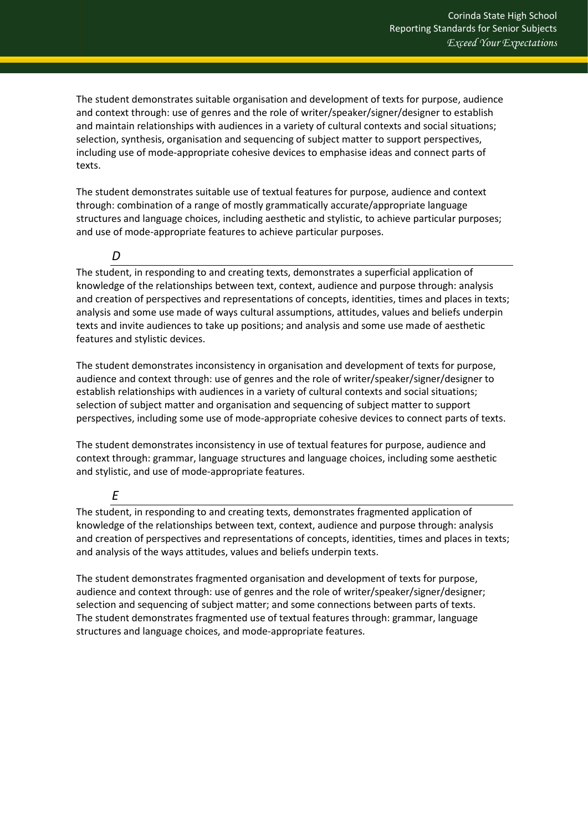The student demonstrates suitable organisation and development of texts for purpose, audience and context through: use of genres and the role of writer/speaker/signer/designer to establish and maintain relationships with audiences in a variety of cultural contexts and social situations; selection, synthesis, organisation and sequencing of subject matter to support perspectives, including use of mode-appropriate cohesive devices to emphasise ideas and connect parts of texts.

The student demonstrates suitable use of textual features for purpose, audience and context through: combination of a range of mostly grammatically accurate/appropriate language structures and language choices, including aesthetic and stylistic, to achieve particular purposes; and use of mode-appropriate features to achieve particular purposes.

### *D*

The student, in responding to and creating texts, demonstrates a superficial application of knowledge of the relationships between text, context, audience and purpose through: analysis and creation of perspectives and representations of concepts, identities, times and places in texts; analysis and some use made of ways cultural assumptions, attitudes, values and beliefs underpin texts and invite audiences to take up positions; and analysis and some use made of aesthetic features and stylistic devices.

The student demonstrates inconsistency in organisation and development of texts for purpose, audience and context through: use of genres and the role of writer/speaker/signer/designer to establish relationships with audiences in a variety of cultural contexts and social situations; selection of subject matter and organisation and sequencing of subject matter to support perspectives, including some use of mode-appropriate cohesive devices to connect parts of texts.

The student demonstrates inconsistency in use of textual features for purpose, audience and context through: grammar, language structures and language choices, including some aesthetic and stylistic, and use of mode-appropriate features.

*E*

The student, in responding to and creating texts, demonstrates fragmented application of knowledge of the relationships between text, context, audience and purpose through: analysis and creation of perspectives and representations of concepts, identities, times and places in texts; and analysis of the ways attitudes, values and beliefs underpin texts.

<span id="page-3-0"></span>The student demonstrates fragmented organisation and development of texts for purpose, audience and context through: use of genres and the role of writer/speaker/signer/designer; selection and sequencing of subject matter; and some connections between parts of texts. The student demonstrates fragmented use of textual features through: grammar, language structures and language choices, and mode-appropriate features.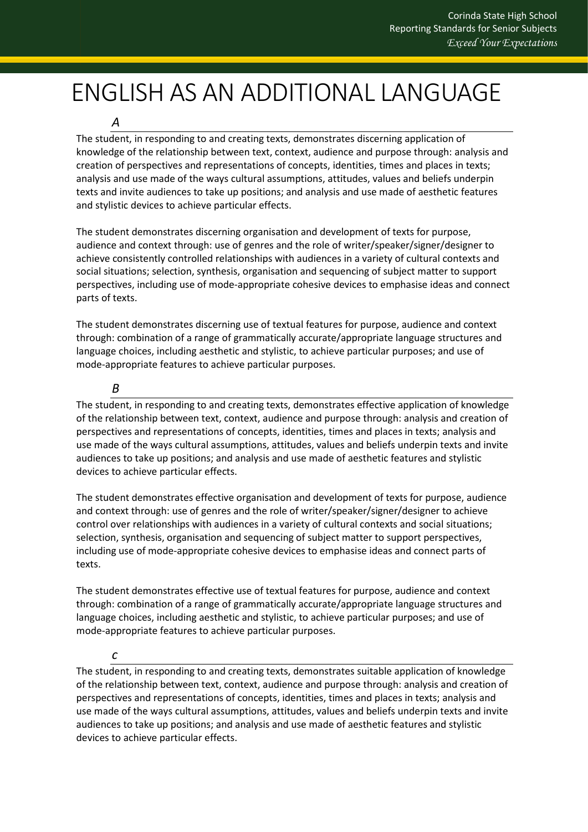# ENGLISH AS AN ADDITIONAL LANGUAGE

*A*

The student, in responding to and creating texts, demonstrates discerning application of knowledge of the relationship between text, context, audience and purpose through: analysis and creation of perspectives and representations of concepts, identities, times and places in texts; analysis and use made of the ways cultural assumptions, attitudes, values and beliefs underpin texts and invite audiences to take up positions; and analysis and use made of aesthetic features and stylistic devices to achieve particular effects.

The student demonstrates discerning organisation and development of texts for purpose, audience and context through: use of genres and the role of writer/speaker/signer/designer to achieve consistently controlled relationships with audiences in a variety of cultural contexts and social situations; selection, synthesis, organisation and sequencing of subject matter to support perspectives, including use of mode-appropriate cohesive devices to emphasise ideas and connect parts of texts.

The student demonstrates discerning use of textual features for purpose, audience and context through: combination of a range of grammatically accurate/appropriate language structures and language choices, including aesthetic and stylistic, to achieve particular purposes; and use of mode-appropriate features to achieve particular purposes.

#### *B*

The student, in responding to and creating texts, demonstrates effective application of knowledge of the relationship between text, context, audience and purpose through: analysis and creation of perspectives and representations of concepts, identities, times and places in texts; analysis and use made of the ways cultural assumptions, attitudes, values and beliefs underpin texts and invite audiences to take up positions; and analysis and use made of aesthetic features and stylistic devices to achieve particular effects.

The student demonstrates effective organisation and development of texts for purpose, audience and context through: use of genres and the role of writer/speaker/signer/designer to achieve control over relationships with audiences in a variety of cultural contexts and social situations; selection, synthesis, organisation and sequencing of subject matter to support perspectives, including use of mode-appropriate cohesive devices to emphasise ideas and connect parts of texts.

The student demonstrates effective use of textual features for purpose, audience and context through: combination of a range of grammatically accurate/appropriate language structures and language choices, including aesthetic and stylistic, to achieve particular purposes; and use of mode-appropriate features to achieve particular purposes.

#### *c*

The student, in responding to and creating texts, demonstrates suitable application of knowledge of the relationship between text, context, audience and purpose through: analysis and creation of perspectives and representations of concepts, identities, times and places in texts; analysis and use made of the ways cultural assumptions, attitudes, values and beliefs underpin texts and invite audiences to take up positions; and analysis and use made of aesthetic features and stylistic devices to achieve particular effects.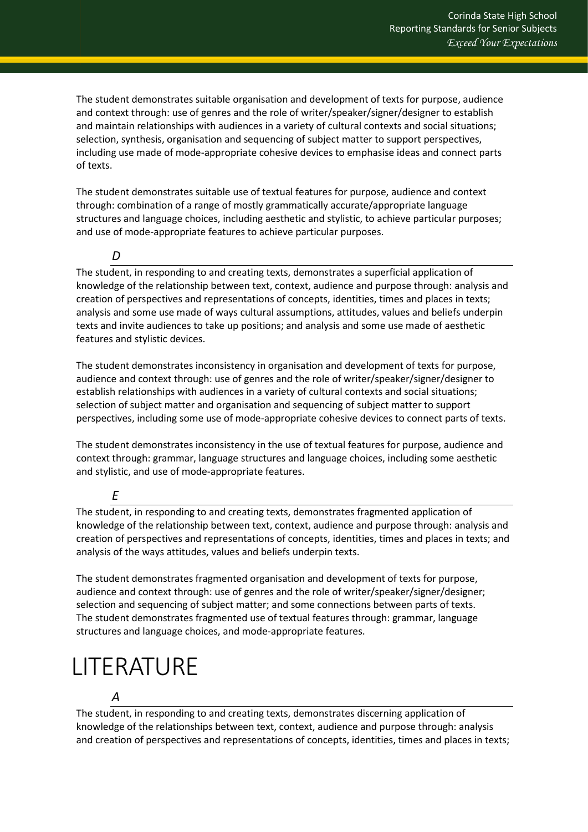The student demonstrates suitable organisation and development of texts for purpose, audience and context through: use of genres and the role of writer/speaker/signer/designer to establish and maintain relationships with audiences in a variety of cultural contexts and social situations; selection, synthesis, organisation and sequencing of subject matter to support perspectives, including use made of mode-appropriate cohesive devices to emphasise ideas and connect parts of texts.

The student demonstrates suitable use of textual features for purpose, audience and context through: combination of a range of mostly grammatically accurate/appropriate language structures and language choices, including aesthetic and stylistic, to achieve particular purposes; and use of mode-appropriate features to achieve particular purposes.

### *D*

The student, in responding to and creating texts, demonstrates a superficial application of knowledge of the relationship between text, context, audience and purpose through: analysis and creation of perspectives and representations of concepts, identities, times and places in texts; analysis and some use made of ways cultural assumptions, attitudes, values and beliefs underpin texts and invite audiences to take up positions; and analysis and some use made of aesthetic features and stylistic devices.

The student demonstrates inconsistency in organisation and development of texts for purpose, audience and context through: use of genres and the role of writer/speaker/signer/designer to establish relationships with audiences in a variety of cultural contexts and social situations; selection of subject matter and organisation and sequencing of subject matter to support perspectives, including some use of mode-appropriate cohesive devices to connect parts of texts.

The student demonstrates inconsistency in the use of textual features for purpose, audience and context through: grammar, language structures and language choices, including some aesthetic and stylistic, and use of mode-appropriate features.

#### *E*

The student, in responding to and creating texts, demonstrates fragmented application of knowledge of the relationship between text, context, audience and purpose through: analysis and creation of perspectives and representations of concepts, identities, times and places in texts; and analysis of the ways attitudes, values and beliefs underpin texts.

The student demonstrates fragmented organisation and development of texts for purpose, audience and context through: use of genres and the role of writer/speaker/signer/designer; selection and sequencing of subject matter; and some connections between parts of texts. The student demonstrates fragmented use of textual features through: grammar, language structures and language choices, and mode-appropriate features.

# <span id="page-5-0"></span>LITERATURE

## *A*

The student, in responding to and creating texts, demonstrates discerning application of knowledge of the relationships between text, context, audience and purpose through: analysis and creation of perspectives and representations of concepts, identities, times and places in texts;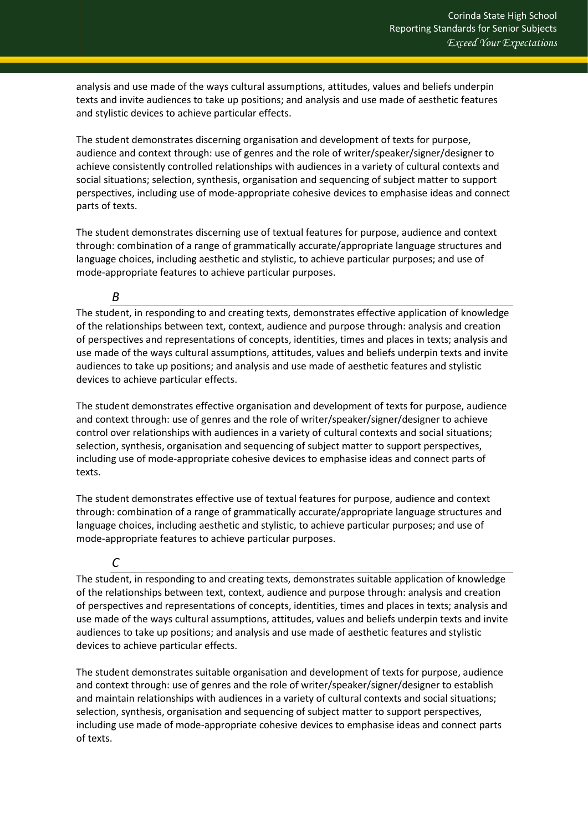analysis and use made of the ways cultural assumptions, attitudes, values and beliefs underpin texts and invite audiences to take up positions; and analysis and use made of aesthetic features and stylistic devices to achieve particular effects.

The student demonstrates discerning organisation and development of texts for purpose, audience and context through: use of genres and the role of writer/speaker/signer/designer to achieve consistently controlled relationships with audiences in a variety of cultural contexts and social situations; selection, synthesis, organisation and sequencing of subject matter to support perspectives, including use of mode-appropriate cohesive devices to emphasise ideas and connect parts of texts.

The student demonstrates discerning use of textual features for purpose, audience and context through: combination of a range of grammatically accurate/appropriate language structures and language choices, including aesthetic and stylistic, to achieve particular purposes; and use of mode-appropriate features to achieve particular purposes.

#### *B*

The student, in responding to and creating texts, demonstrates effective application of knowledge of the relationships between text, context, audience and purpose through: analysis and creation of perspectives and representations of concepts, identities, times and places in texts; analysis and use made of the ways cultural assumptions, attitudes, values and beliefs underpin texts and invite audiences to take up positions; and analysis and use made of aesthetic features and stylistic devices to achieve particular effects.

The student demonstrates effective organisation and development of texts for purpose, audience and context through: use of genres and the role of writer/speaker/signer/designer to achieve control over relationships with audiences in a variety of cultural contexts and social situations; selection, synthesis, organisation and sequencing of subject matter to support perspectives, including use of mode-appropriate cohesive devices to emphasise ideas and connect parts of texts.

The student demonstrates effective use of textual features for purpose, audience and context through: combination of a range of grammatically accurate/appropriate language structures and language choices, including aesthetic and stylistic, to achieve particular purposes; and use of mode-appropriate features to achieve particular purposes.

# *C*

The student, in responding to and creating texts, demonstrates suitable application of knowledge of the relationships between text, context, audience and purpose through: analysis and creation of perspectives and representations of concepts, identities, times and places in texts; analysis and use made of the ways cultural assumptions, attitudes, values and beliefs underpin texts and invite audiences to take up positions; and analysis and use made of aesthetic features and stylistic devices to achieve particular effects.

The student demonstrates suitable organisation and development of texts for purpose, audience and context through: use of genres and the role of writer/speaker/signer/designer to establish and maintain relationships with audiences in a variety of cultural contexts and social situations; selection, synthesis, organisation and sequencing of subject matter to support perspectives, including use made of mode-appropriate cohesive devices to emphasise ideas and connect parts of texts.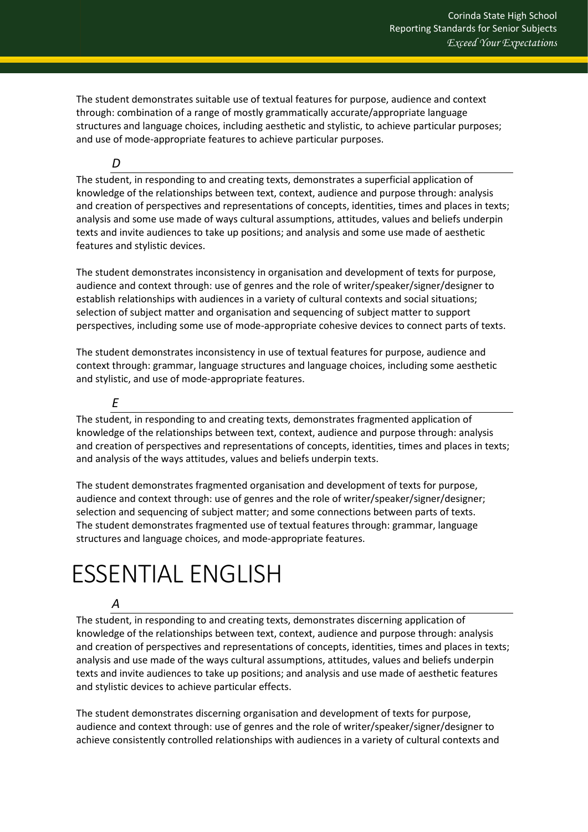The student demonstrates suitable use of textual features for purpose, audience and context through: combination of a range of mostly grammatically accurate/appropriate language structures and language choices, including aesthetic and stylistic, to achieve particular purposes; and use of mode-appropriate features to achieve particular purposes.

*D*

The student, in responding to and creating texts, demonstrates a superficial application of knowledge of the relationships between text, context, audience and purpose through: analysis and creation of perspectives and representations of concepts, identities, times and places in texts; analysis and some use made of ways cultural assumptions, attitudes, values and beliefs underpin texts and invite audiences to take up positions; and analysis and some use made of aesthetic features and stylistic devices.

The student demonstrates inconsistency in organisation and development of texts for purpose, audience and context through: use of genres and the role of writer/speaker/signer/designer to establish relationships with audiences in a variety of cultural contexts and social situations; selection of subject matter and organisation and sequencing of subject matter to support perspectives, including some use of mode-appropriate cohesive devices to connect parts of texts.

The student demonstrates inconsistency in use of textual features for purpose, audience and context through: grammar, language structures and language choices, including some aesthetic and stylistic, and use of mode-appropriate features.

*E*

The student, in responding to and creating texts, demonstrates fragmented application of knowledge of the relationships between text, context, audience and purpose through: analysis and creation of perspectives and representations of concepts, identities, times and places in texts; and analysis of the ways attitudes, values and beliefs underpin texts.

The student demonstrates fragmented organisation and development of texts for purpose, audience and context through: use of genres and the role of writer/speaker/signer/designer; selection and sequencing of subject matter; and some connections between parts of texts. The student demonstrates fragmented use of textual features through: grammar, language structures and language choices, and mode-appropriate features.

# <span id="page-7-0"></span>ESSENTIAL ENGLISH

## *A*

The student, in responding to and creating texts, demonstrates discerning application of knowledge of the relationships between text, context, audience and purpose through: analysis and creation of perspectives and representations of concepts, identities, times and places in texts; analysis and use made of the ways cultural assumptions, attitudes, values and beliefs underpin texts and invite audiences to take up positions; and analysis and use made of aesthetic features and stylistic devices to achieve particular effects.

The student demonstrates discerning organisation and development of texts for purpose, audience and context through: use of genres and the role of writer/speaker/signer/designer to achieve consistently controlled relationships with audiences in a variety of cultural contexts and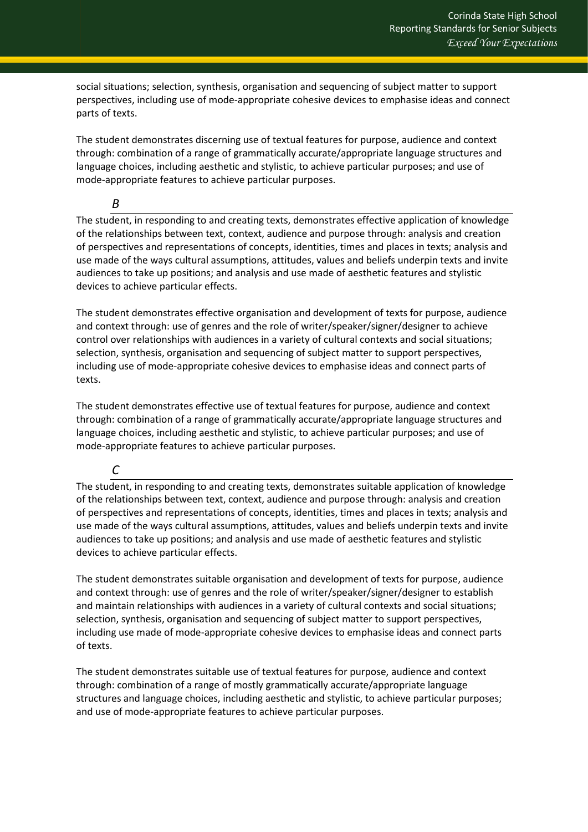social situations; selection, synthesis, organisation and sequencing of subject matter to support perspectives, including use of mode-appropriate cohesive devices to emphasise ideas and connect parts of texts.

The student demonstrates discerning use of textual features for purpose, audience and context through: combination of a range of grammatically accurate/appropriate language structures and language choices, including aesthetic and stylistic, to achieve particular purposes; and use of mode-appropriate features to achieve particular purposes.

*B*

The student, in responding to and creating texts, demonstrates effective application of knowledge of the relationships between text, context, audience and purpose through: analysis and creation of perspectives and representations of concepts, identities, times and places in texts; analysis and use made of the ways cultural assumptions, attitudes, values and beliefs underpin texts and invite audiences to take up positions; and analysis and use made of aesthetic features and stylistic devices to achieve particular effects.

The student demonstrates effective organisation and development of texts for purpose, audience and context through: use of genres and the role of writer/speaker/signer/designer to achieve control over relationships with audiences in a variety of cultural contexts and social situations; selection, synthesis, organisation and sequencing of subject matter to support perspectives, including use of mode-appropriate cohesive devices to emphasise ideas and connect parts of texts.

The student demonstrates effective use of textual features for purpose, audience and context through: combination of a range of grammatically accurate/appropriate language structures and language choices, including aesthetic and stylistic, to achieve particular purposes; and use of mode-appropriate features to achieve particular purposes.

#### *C*

The student, in responding to and creating texts, demonstrates suitable application of knowledge of the relationships between text, context, audience and purpose through: analysis and creation of perspectives and representations of concepts, identities, times and places in texts; analysis and use made of the ways cultural assumptions, attitudes, values and beliefs underpin texts and invite audiences to take up positions; and analysis and use made of aesthetic features and stylistic devices to achieve particular effects.

The student demonstrates suitable organisation and development of texts for purpose, audience and context through: use of genres and the role of writer/speaker/signer/designer to establish and maintain relationships with audiences in a variety of cultural contexts and social situations; selection, synthesis, organisation and sequencing of subject matter to support perspectives, including use made of mode-appropriate cohesive devices to emphasise ideas and connect parts of texts.

The student demonstrates suitable use of textual features for purpose, audience and context through: combination of a range of mostly grammatically accurate/appropriate language structures and language choices, including aesthetic and stylistic, to achieve particular purposes; and use of mode-appropriate features to achieve particular purposes.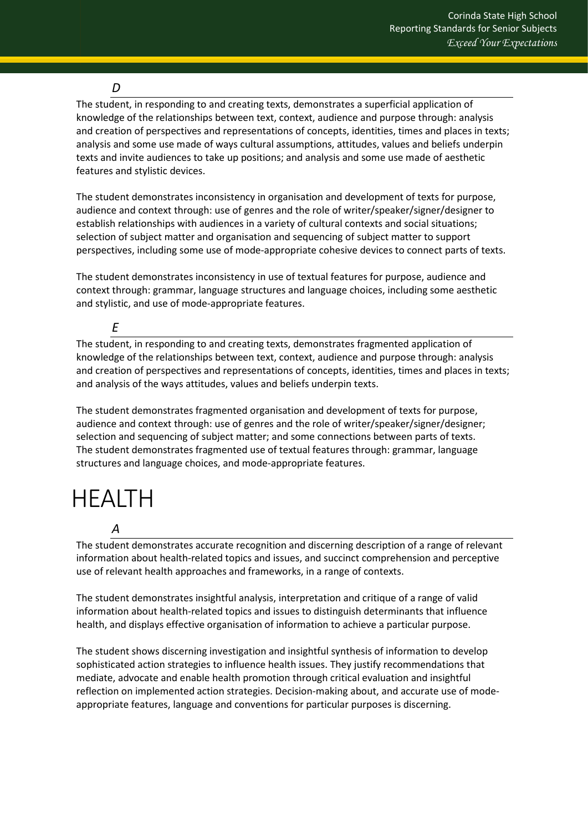### *D*

The student, in responding to and creating texts, demonstrates a superficial application of knowledge of the relationships between text, context, audience and purpose through: analysis and creation of perspectives and representations of concepts, identities, times and places in texts; analysis and some use made of ways cultural assumptions, attitudes, values and beliefs underpin texts and invite audiences to take up positions; and analysis and some use made of aesthetic features and stylistic devices.

The student demonstrates inconsistency in organisation and development of texts for purpose, audience and context through: use of genres and the role of writer/speaker/signer/designer to establish relationships with audiences in a variety of cultural contexts and social situations; selection of subject matter and organisation and sequencing of subject matter to support perspectives, including some use of mode-appropriate cohesive devices to connect parts of texts.

The student demonstrates inconsistency in use of textual features for purpose, audience and context through: grammar, language structures and language choices, including some aesthetic and stylistic, and use of mode-appropriate features.

*E*

The student, in responding to and creating texts, demonstrates fragmented application of knowledge of the relationships between text, context, audience and purpose through: analysis and creation of perspectives and representations of concepts, identities, times and places in texts; and analysis of the ways attitudes, values and beliefs underpin texts.

The student demonstrates fragmented organisation and development of texts for purpose, audience and context through: use of genres and the role of writer/speaker/signer/designer; selection and sequencing of subject matter; and some connections between parts of texts. The student demonstrates fragmented use of textual features through: grammar, language structures and language choices, and mode-appropriate features.

# <span id="page-9-0"></span>HEALTH

*A* The student demonstrates accurate recognition and discerning description of a range of relevant information about health-related topics and issues, and succinct comprehension and perceptive use of relevant health approaches and frameworks, in a range of contexts.

The student demonstrates insightful analysis, interpretation and critique of a range of valid information about health-related topics and issues to distinguish determinants that influence health, and displays effective organisation of information to achieve a particular purpose.

The student shows discerning investigation and insightful synthesis of information to develop sophisticated action strategies to influence health issues. They justify recommendations that mediate, advocate and enable health promotion through critical evaluation and insightful reflection on implemented action strategies. Decision-making about, and accurate use of modeappropriate features, language and conventions for particular purposes is discerning.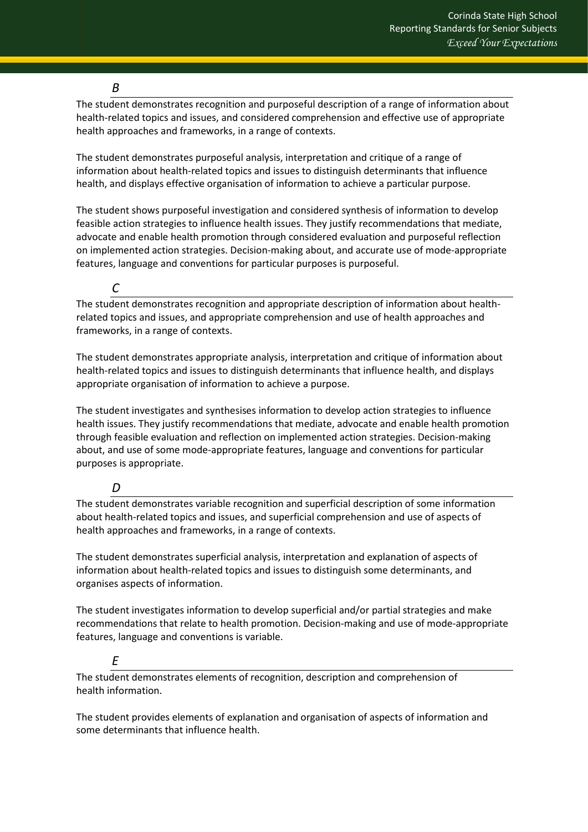#### *B*

The student demonstrates recognition and purposeful description of a range of information about health-related topics and issues, and considered comprehension and effective use of appropriate health approaches and frameworks, in a range of contexts.

The student demonstrates purposeful analysis, interpretation and critique of a range of information about health-related topics and issues to distinguish determinants that influence health, and displays effective organisation of information to achieve a particular purpose.

The student shows purposeful investigation and considered synthesis of information to develop feasible action strategies to influence health issues. They justify recommendations that mediate, advocate and enable health promotion through considered evaluation and purposeful reflection on implemented action strategies. Decision-making about, and accurate use of mode-appropriate features, language and conventions for particular purposes is purposeful.

*C*

The student demonstrates recognition and appropriate description of information about healthrelated topics and issues, and appropriate comprehension and use of health approaches and frameworks, in a range of contexts.

The student demonstrates appropriate analysis, interpretation and critique of information about health-related topics and issues to distinguish determinants that influence health, and displays appropriate organisation of information to achieve a purpose.

The student investigates and synthesises information to develop action strategies to influence health issues. They justify recommendations that mediate, advocate and enable health promotion through feasible evaluation and reflection on implemented action strategies. Decision-making about, and use of some mode-appropriate features, language and conventions for particular purposes is appropriate.

#### *D*

The student demonstrates variable recognition and superficial description of some information about health-related topics and issues, and superficial comprehension and use of aspects of health approaches and frameworks, in a range of contexts.

The student demonstrates superficial analysis, interpretation and explanation of aspects of information about health-related topics and issues to distinguish some determinants, and organises aspects of information.

The student investigates information to develop superficial and/or partial strategies and make recommendations that relate to health promotion. Decision-making and use of mode-appropriate features, language and conventions is variable.

## *E*

The student demonstrates elements of recognition, description and comprehension of health information.

The student provides elements of explanation and organisation of aspects of information and some determinants that influence health.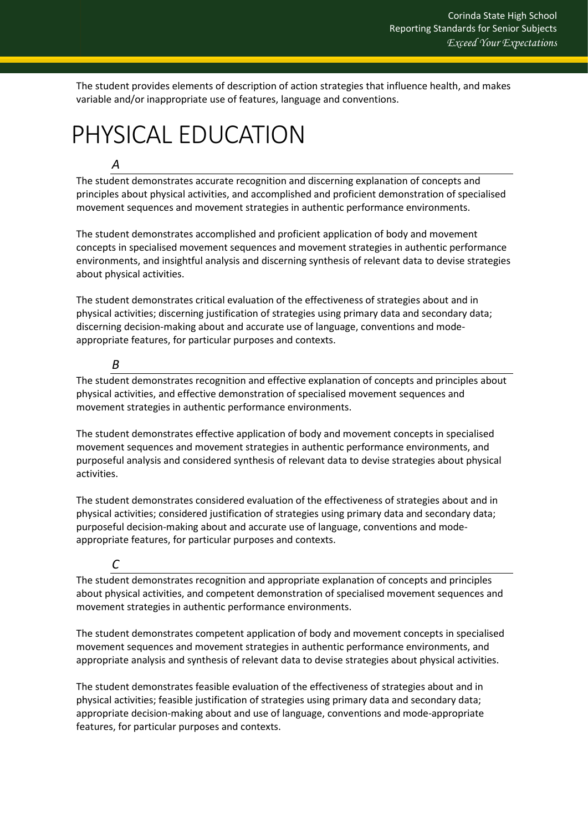The student provides elements of description of action strategies that influence health, and makes variable and/or inappropriate use of features, language and conventions.

# <span id="page-11-0"></span>PHYSICAL EDUCATION

### *A*

The student demonstrates accurate recognition and discerning explanation of concepts and principles about physical activities, and accomplished and proficient demonstration of specialised movement sequences and movement strategies in authentic performance environments.

The student demonstrates accomplished and proficient application of body and movement concepts in specialised movement sequences and movement strategies in authentic performance environments, and insightful analysis and discerning synthesis of relevant data to devise strategies about physical activities.

The student demonstrates critical evaluation of the effectiveness of strategies about and in physical activities; discerning justification of strategies using primary data and secondary data; discerning decision-making about and accurate use of language, conventions and modeappropriate features, for particular purposes and contexts.

## *B*

The student demonstrates recognition and effective explanation of concepts and principles about physical activities, and effective demonstration of specialised movement sequences and movement strategies in authentic performance environments.

The student demonstrates effective application of body and movement concepts in specialised movement sequences and movement strategies in authentic performance environments, and purposeful analysis and considered synthesis of relevant data to devise strategies about physical activities.

The student demonstrates considered evaluation of the effectiveness of strategies about and in physical activities; considered justification of strategies using primary data and secondary data; purposeful decision-making about and accurate use of language, conventions and modeappropriate features, for particular purposes and contexts.

## *C*

The student demonstrates recognition and appropriate explanation of concepts and principles about physical activities, and competent demonstration of specialised movement sequences and movement strategies in authentic performance environments.

The student demonstrates competent application of body and movement concepts in specialised movement sequences and movement strategies in authentic performance environments, and appropriate analysis and synthesis of relevant data to devise strategies about physical activities.

The student demonstrates feasible evaluation of the effectiveness of strategies about and in physical activities; feasible justification of strategies using primary data and secondary data; appropriate decision-making about and use of language, conventions and mode-appropriate features, for particular purposes and contexts.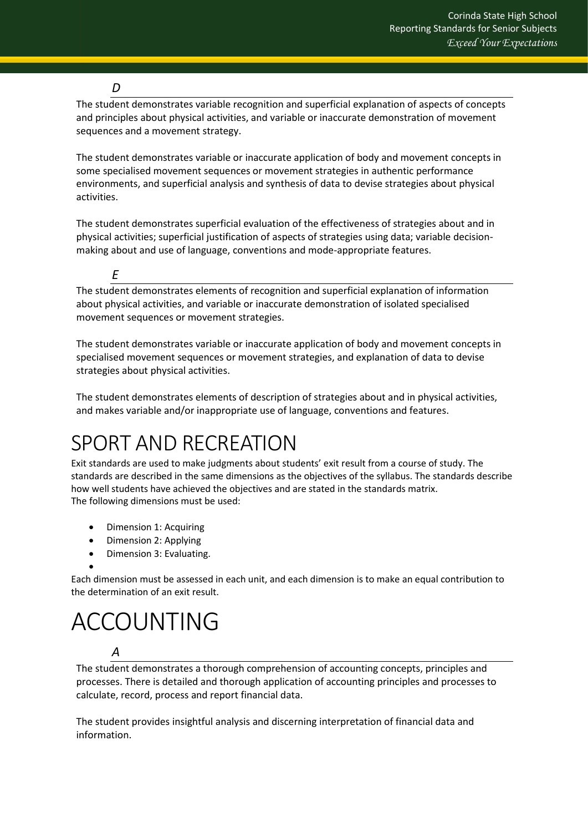### *D*

*E*

The student demonstrates variable recognition and superficial explanation of aspects of concepts and principles about physical activities, and variable or inaccurate demonstration of movement sequences and a movement strategy.

The student demonstrates variable or inaccurate application of body and movement concepts in some specialised movement sequences or movement strategies in authentic performance environments, and superficial analysis and synthesis of data to devise strategies about physical activities.

The student demonstrates superficial evaluation of the effectiveness of strategies about and in physical activities; superficial justification of aspects of strategies using data; variable decisionmaking about and use of language, conventions and mode-appropriate features.

The student demonstrates elements of recognition and superficial explanation of information about physical activities, and variable or inaccurate demonstration of isolated specialised movement sequences or movement strategies.

The student demonstrates variable or inaccurate application of body and movement concepts in specialised movement sequences or movement strategies, and explanation of data to devise strategies about physical activities.

The student demonstrates elements of description of strategies about and in physical activities, and makes variable and/or inappropriate use of language, conventions and features.

# <span id="page-12-0"></span>SPORT AND RECREATION

Exit standards are used to make judgments about students' exit result from a course of study. The standards are described in the same dimensions as the objectives of the syllabus. The standards describe how well students have achieved the objectives and are stated in the standards matrix. The following dimensions must be used:

- Dimension 1: Acquiring
- Dimension 2: Applying
- Dimension 3: Evaluating.

• Each dimension must be assessed in each unit, and each dimension is to make an equal contribution to the determination of an exit result.

# <span id="page-12-1"></span>ACCOUNTING

## *A*

The student demonstrates a thorough comprehension of accounting concepts, principles and processes. There is detailed and thorough application of accounting principles and processes to calculate, record, process and report financial data.

The student provides insightful analysis and discerning interpretation of financial data and information.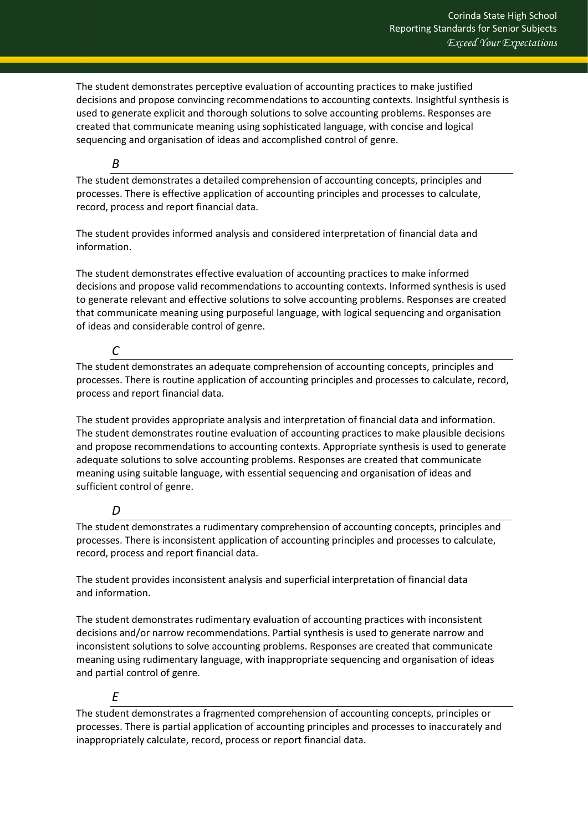The student demonstrates perceptive evaluation of accounting practices to make justified decisions and propose convincing recommendations to accounting contexts. Insightful synthesis is used to generate explicit and thorough solutions to solve accounting problems. Responses are created that communicate meaning using sophisticated language, with concise and logical sequencing and organisation of ideas and accomplished control of genre.

#### *B*

The student demonstrates a detailed comprehension of accounting concepts, principles and processes. There is effective application of accounting principles and processes to calculate, record, process and report financial data.

The student provides informed analysis and considered interpretation of financial data and information.

The student demonstrates effective evaluation of accounting practices to make informed decisions and propose valid recommendations to accounting contexts. Informed synthesis is used to generate relevant and effective solutions to solve accounting problems. Responses are created that communicate meaning using purposeful language, with logical sequencing and organisation of ideas and considerable control of genre.

### *C*

The student demonstrates an adequate comprehension of accounting concepts, principles and processes. There is routine application of accounting principles and processes to calculate, record, process and report financial data.

The student provides appropriate analysis and interpretation of financial data and information. The student demonstrates routine evaluation of accounting practices to make plausible decisions and propose recommendations to accounting contexts. Appropriate synthesis is used to generate adequate solutions to solve accounting problems. Responses are created that communicate meaning using suitable language, with essential sequencing and organisation of ideas and sufficient control of genre.

## *D*

The student demonstrates a rudimentary comprehension of accounting concepts, principles and processes. There is inconsistent application of accounting principles and processes to calculate, record, process and report financial data.

The student provides inconsistent analysis and superficial interpretation of financial data and information.

The student demonstrates rudimentary evaluation of accounting practices with inconsistent decisions and/or narrow recommendations. Partial synthesis is used to generate narrow and inconsistent solutions to solve accounting problems. Responses are created that communicate meaning using rudimentary language, with inappropriate sequencing and organisation of ideas and partial control of genre.

## *E*

The student demonstrates a fragmented comprehension of accounting concepts, principles or processes. There is partial application of accounting principles and processes to inaccurately and inappropriately calculate, record, process or report financial data.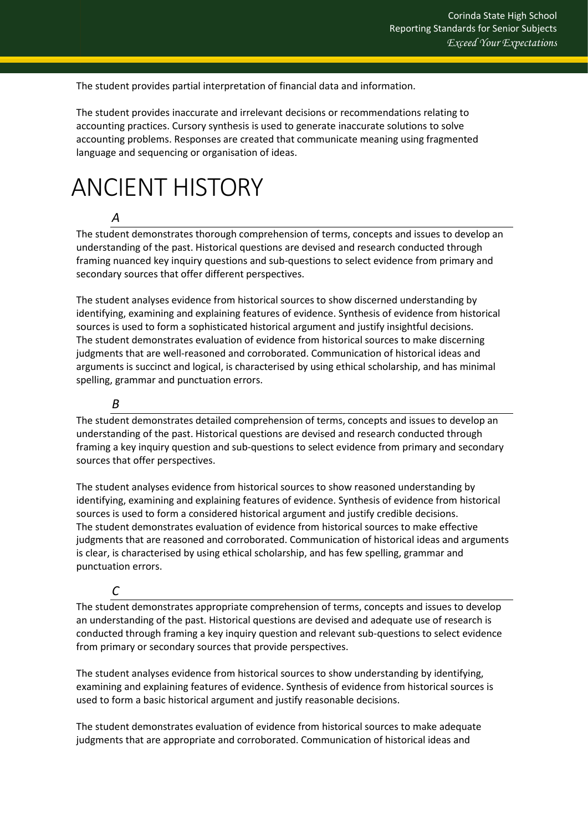The student provides partial interpretation of financial data and information.

The student provides inaccurate and irrelevant decisions or recommendations relating to accounting practices. Cursory synthesis is used to generate inaccurate solutions to solve accounting problems. Responses are created that communicate meaning using fragmented language and sequencing or organisation of ideas.

# <span id="page-14-0"></span>ANCIENT HISTORY

# *A*

The student demonstrates thorough comprehension of terms, concepts and issues to develop an understanding of the past. Historical questions are devised and research conducted through framing nuanced key inquiry questions and sub-questions to select evidence from primary and secondary sources that offer different perspectives.

The student analyses evidence from historical sources to show discerned understanding by identifying, examining and explaining features of evidence. Synthesis of evidence from historical sources is used to form a sophisticated historical argument and justify insightful decisions. The student demonstrates evaluation of evidence from historical sources to make discerning judgments that are well-reasoned and corroborated. Communication of historical ideas and arguments is succinct and logical, is characterised by using ethical scholarship, and has minimal spelling, grammar and punctuation errors.

### *B*

The student demonstrates detailed comprehension of terms, concepts and issues to develop an understanding of the past. Historical questions are devised and research conducted through framing a key inquiry question and sub-questions to select evidence from primary and secondary sources that offer perspectives.

The student analyses evidence from historical sources to show reasoned understanding by identifying, examining and explaining features of evidence. Synthesis of evidence from historical sources is used to form a considered historical argument and justify credible decisions. The student demonstrates evaluation of evidence from historical sources to make effective judgments that are reasoned and corroborated. Communication of historical ideas and arguments is clear, is characterised by using ethical scholarship, and has few spelling, grammar and punctuation errors.

#### *C*

The student demonstrates appropriate comprehension of terms, concepts and issues to develop an understanding of the past. Historical questions are devised and adequate use of research is conducted through framing a key inquiry question and relevant sub-questions to select evidence from primary or secondary sources that provide perspectives.

The student analyses evidence from historical sources to show understanding by identifying, examining and explaining features of evidence. Synthesis of evidence from historical sources is used to form a basic historical argument and justify reasonable decisions.

The student demonstrates evaluation of evidence from historical sources to make adequate judgments that are appropriate and corroborated. Communication of historical ideas and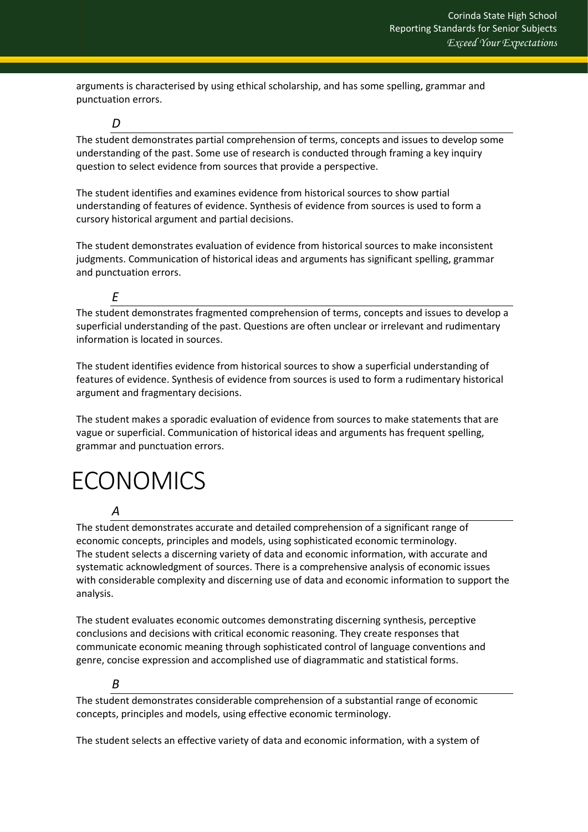arguments is characterised by using ethical scholarship, and has some spelling, grammar and punctuation errors.

*D*

The student demonstrates partial comprehension of terms, concepts and issues to develop some understanding of the past. Some use of research is conducted through framing a key inquiry question to select evidence from sources that provide a perspective.

The student identifies and examines evidence from historical sources to show partial understanding of features of evidence. Synthesis of evidence from sources is used to form a cursory historical argument and partial decisions.

The student demonstrates evaluation of evidence from historical sources to make inconsistent judgments. Communication of historical ideas and arguments has significant spelling, grammar and punctuation errors.

#### *E*

The student demonstrates fragmented comprehension of terms, concepts and issues to develop a superficial understanding of the past. Questions are often unclear or irrelevant and rudimentary information is located in sources.

The student identifies evidence from historical sources to show a superficial understanding of features of evidence. Synthesis of evidence from sources is used to form a rudimentary historical argument and fragmentary decisions.

The student makes a sporadic evaluation of evidence from sources to make statements that are vague or superficial. Communication of historical ideas and arguments has frequent spelling, grammar and punctuation errors.

# <span id="page-15-0"></span>**ECONOMICS**

#### *A*

The student demonstrates accurate and detailed comprehension of a significant range of economic concepts, principles and models, using sophisticated economic terminology. The student selects a discerning variety of data and economic information, with accurate and systematic acknowledgment of sources. There is a comprehensive analysis of economic issues with considerable complexity and discerning use of data and economic information to support the analysis.

The student evaluates economic outcomes demonstrating discerning synthesis, perceptive conclusions and decisions with critical economic reasoning. They create responses that communicate economic meaning through sophisticated control of language conventions and genre, concise expression and accomplished use of diagrammatic and statistical forms.

#### *B*

The student demonstrates considerable comprehension of a substantial range of economic concepts, principles and models, using effective economic terminology.

The student selects an effective variety of data and economic information, with a system of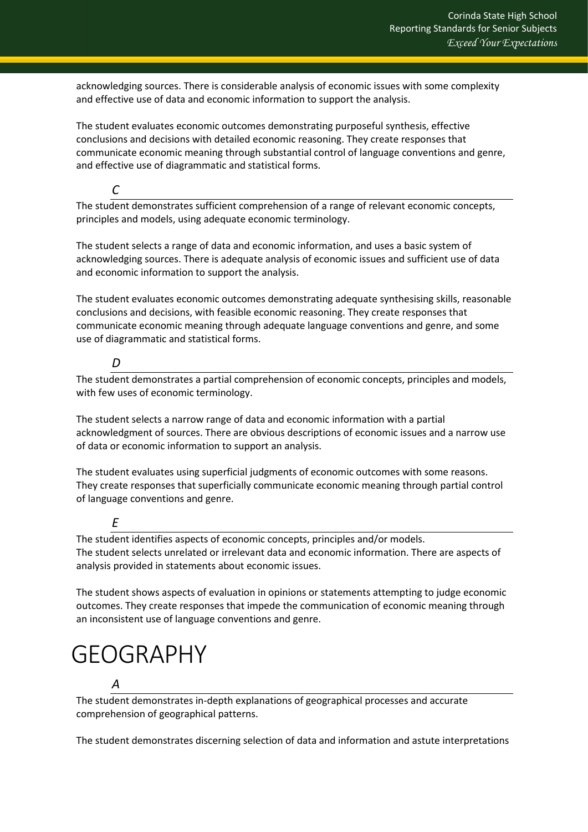acknowledging sources. There is considerable analysis of economic issues with some complexity and effective use of data and economic information to support the analysis.

The student evaluates economic outcomes demonstrating purposeful synthesis, effective conclusions and decisions with detailed economic reasoning. They create responses that communicate economic meaning through substantial control of language conventions and genre, and effective use of diagrammatic and statistical forms.

*C*

The student demonstrates sufficient comprehension of a range of relevant economic concepts, principles and models, using adequate economic terminology.

The student selects a range of data and economic information, and uses a basic system of acknowledging sources. There is adequate analysis of economic issues and sufficient use of data and economic information to support the analysis.

The student evaluates economic outcomes demonstrating adequate synthesising skills, reasonable conclusions and decisions, with feasible economic reasoning. They create responses that communicate economic meaning through adequate language conventions and genre, and some use of diagrammatic and statistical forms.

## *D*

The student demonstrates a partial comprehension of economic concepts, principles and models, with few uses of economic terminology.

The student selects a narrow range of data and economic information with a partial acknowledgment of sources. There are obvious descriptions of economic issues and a narrow use of data or economic information to support an analysis.

The student evaluates using superficial judgments of economic outcomes with some reasons. They create responses that superficially communicate economic meaning through partial control of language conventions and genre.

*E*

The student identifies aspects of economic concepts, principles and/or models. The student selects unrelated or irrelevant data and economic information. There are aspects of analysis provided in statements about economic issues.

The student shows aspects of evaluation in opinions or statements attempting to judge economic outcomes. They create responses that impede the communication of economic meaning through an inconsistent use of language conventions and genre.

# <span id="page-16-0"></span>GEOGRAPHY

# *A*

The student demonstrates in-depth explanations of geographical processes and accurate comprehension of geographical patterns.

The student demonstrates discerning selection of data and information and astute interpretations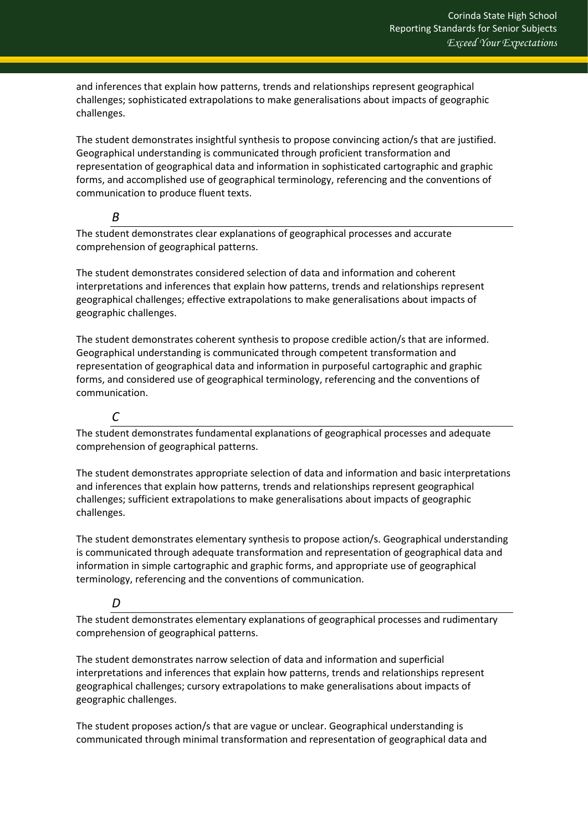and inferences that explain how patterns, trends and relationships represent geographical challenges; sophisticated extrapolations to make generalisations about impacts of geographic challenges.

The student demonstrates insightful synthesis to propose convincing action/s that are justified. Geographical understanding is communicated through proficient transformation and representation of geographical data and information in sophisticated cartographic and graphic forms, and accomplished use of geographical terminology, referencing and the conventions of communication to produce fluent texts.

*B*

The student demonstrates clear explanations of geographical processes and accurate comprehension of geographical patterns.

The student demonstrates considered selection of data and information and coherent interpretations and inferences that explain how patterns, trends and relationships represent geographical challenges; effective extrapolations to make generalisations about impacts of geographic challenges.

The student demonstrates coherent synthesis to propose credible action/s that are informed. Geographical understanding is communicated through competent transformation and representation of geographical data and information in purposeful cartographic and graphic forms, and considered use of geographical terminology, referencing and the conventions of communication.

*C*

The student demonstrates fundamental explanations of geographical processes and adequate comprehension of geographical patterns.

The student demonstrates appropriate selection of data and information and basic interpretations and inferences that explain how patterns, trends and relationships represent geographical challenges; sufficient extrapolations to make generalisations about impacts of geographic challenges.

The student demonstrates elementary synthesis to propose action/s. Geographical understanding is communicated through adequate transformation and representation of geographical data and information in simple cartographic and graphic forms, and appropriate use of geographical terminology, referencing and the conventions of communication.

# *D*

The student demonstrates elementary explanations of geographical processes and rudimentary comprehension of geographical patterns.

The student demonstrates narrow selection of data and information and superficial interpretations and inferences that explain how patterns, trends and relationships represent geographical challenges; cursory extrapolations to make generalisations about impacts of geographic challenges.

The student proposes action/s that are vague or unclear. Geographical understanding is communicated through minimal transformation and representation of geographical data and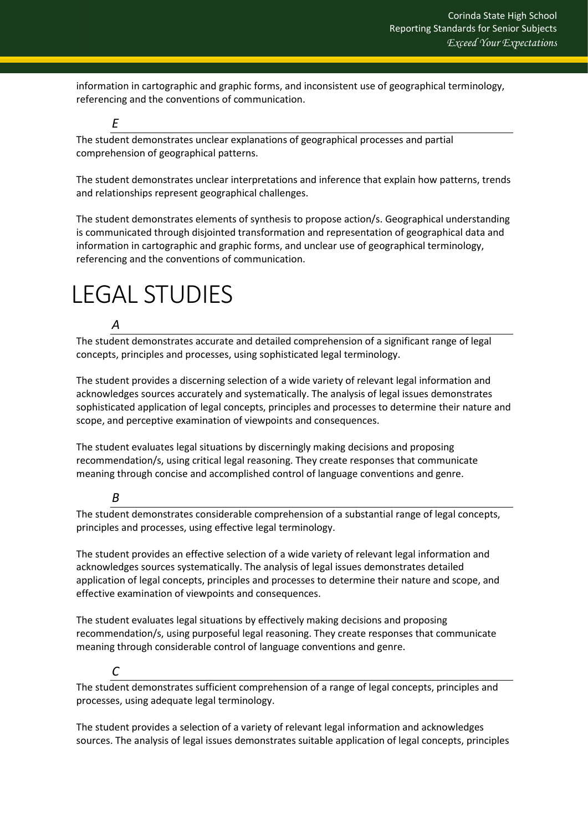information in cartographic and graphic forms, and inconsistent use of geographical terminology, referencing and the conventions of communication.

The student demonstrates unclear explanations of geographical processes and partial comprehension of geographical patterns.

The student demonstrates unclear interpretations and inference that explain how patterns, trends and relationships represent geographical challenges.

The student demonstrates elements of synthesis to propose action/s. Geographical understanding is communicated through disjointed transformation and representation of geographical data and information in cartographic and graphic forms, and unclear use of geographical terminology, referencing and the conventions of communication.

# <span id="page-18-0"></span>LEGAL STUDIES

# *A*

*E*

The student demonstrates accurate and detailed comprehension of a significant range of legal concepts, principles and processes, using sophisticated legal terminology.

The student provides a discerning selection of a wide variety of relevant legal information and acknowledges sources accurately and systematically. The analysis of legal issues demonstrates sophisticated application of legal concepts, principles and processes to determine their nature and scope, and perceptive examination of viewpoints and consequences.

The student evaluates legal situations by discerningly making decisions and proposing recommendation/s, using critical legal reasoning. They create responses that communicate meaning through concise and accomplished control of language conventions and genre.

## *B*

The student demonstrates considerable comprehension of a substantial range of legal concepts, principles and processes, using effective legal terminology.

The student provides an effective selection of a wide variety of relevant legal information and acknowledges sources systematically. The analysis of legal issues demonstrates detailed application of legal concepts, principles and processes to determine their nature and scope, and effective examination of viewpoints and consequences.

The student evaluates legal situations by effectively making decisions and proposing recommendation/s, using purposeful legal reasoning. They create responses that communicate meaning through considerable control of language conventions and genre.

# *C*

The student demonstrates sufficient comprehension of a range of legal concepts, principles and processes, using adequate legal terminology.

The student provides a selection of a variety of relevant legal information and acknowledges sources. The analysis of legal issues demonstrates suitable application of legal concepts, principles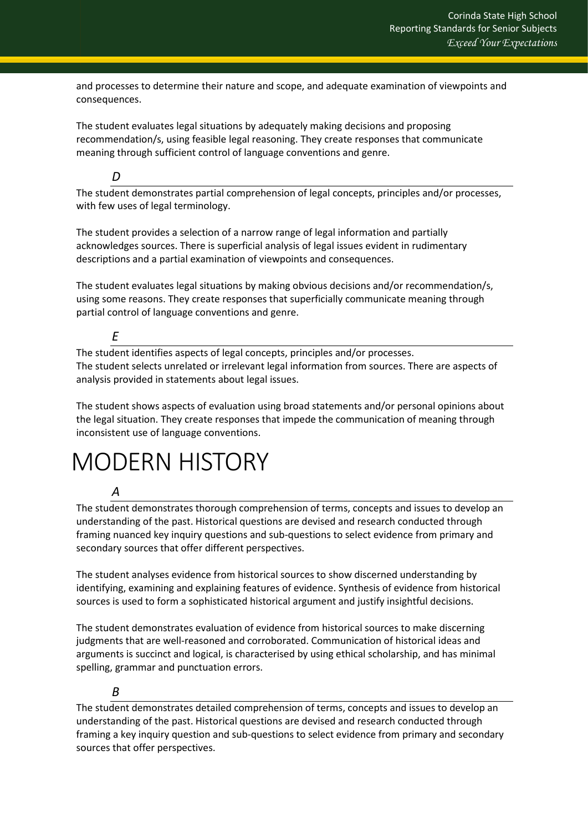and processes to determine their nature and scope, and adequate examination of viewpoints and consequences.

The student evaluates legal situations by adequately making decisions and proposing recommendation/s, using feasible legal reasoning. They create responses that communicate meaning through sufficient control of language conventions and genre.

#### *D*

The student demonstrates partial comprehension of legal concepts, principles and/or processes, with few uses of legal terminology.

The student provides a selection of a narrow range of legal information and partially acknowledges sources. There is superficial analysis of legal issues evident in rudimentary descriptions and a partial examination of viewpoints and consequences.

The student evaluates legal situations by making obvious decisions and/or recommendation/s, using some reasons. They create responses that superficially communicate meaning through partial control of language conventions and genre.

#### *E*

The student identifies aspects of legal concepts, principles and/or processes. The student selects unrelated or irrelevant legal information from sources. There are aspects of analysis provided in statements about legal issues.

The student shows aspects of evaluation using broad statements and/or personal opinions about the legal situation. They create responses that impede the communication of meaning through inconsistent use of language conventions.

# <span id="page-19-0"></span>MODERN HISTORY

#### *A*

The student demonstrates thorough comprehension of terms, concepts and issues to develop an understanding of the past. Historical questions are devised and research conducted through framing nuanced key inquiry questions and sub-questions to select evidence from primary and secondary sources that offer different perspectives.

The student analyses evidence from historical sources to show discerned understanding by identifying, examining and explaining features of evidence. Synthesis of evidence from historical sources is used to form a sophisticated historical argument and justify insightful decisions.

The student demonstrates evaluation of evidence from historical sources to make discerning judgments that are well-reasoned and corroborated. Communication of historical ideas and arguments is succinct and logical, is characterised by using ethical scholarship, and has minimal spelling, grammar and punctuation errors.

## *B*

The student demonstrates detailed comprehension of terms, concepts and issues to develop an understanding of the past. Historical questions are devised and research conducted through framing a key inquiry question and sub-questions to select evidence from primary and secondary sources that offer perspectives.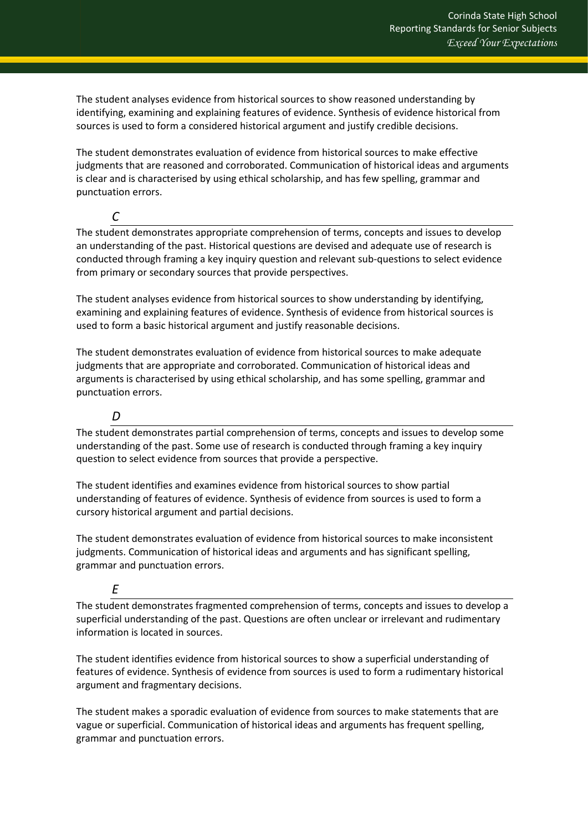The student analyses evidence from historical sources to show reasoned understanding by identifying, examining and explaining features of evidence. Synthesis of evidence historical from sources is used to form a considered historical argument and justify credible decisions.

The student demonstrates evaluation of evidence from historical sources to make effective judgments that are reasoned and corroborated. Communication of historical ideas and arguments is clear and is characterised by using ethical scholarship, and has few spelling, grammar and punctuation errors.

*C*

The student demonstrates appropriate comprehension of terms, concepts and issues to develop an understanding of the past. Historical questions are devised and adequate use of research is conducted through framing a key inquiry question and relevant sub-questions to select evidence from primary or secondary sources that provide perspectives.

The student analyses evidence from historical sources to show understanding by identifying, examining and explaining features of evidence. Synthesis of evidence from historical sources is used to form a basic historical argument and justify reasonable decisions.

The student demonstrates evaluation of evidence from historical sources to make adequate judgments that are appropriate and corroborated. Communication of historical ideas and arguments is characterised by using ethical scholarship, and has some spelling, grammar and punctuation errors.

*D*

The student demonstrates partial comprehension of terms, concepts and issues to develop some understanding of the past. Some use of research is conducted through framing a key inquiry question to select evidence from sources that provide a perspective.

The student identifies and examines evidence from historical sources to show partial understanding of features of evidence. Synthesis of evidence from sources is used to form a cursory historical argument and partial decisions.

The student demonstrates evaluation of evidence from historical sources to make inconsistent judgments. Communication of historical ideas and arguments and has significant spelling, grammar and punctuation errors.

# *E*

The student demonstrates fragmented comprehension of terms, concepts and issues to develop a superficial understanding of the past. Questions are often unclear or irrelevant and rudimentary information is located in sources.

The student identifies evidence from historical sources to show a superficial understanding of features of evidence. Synthesis of evidence from sources is used to form a rudimentary historical argument and fragmentary decisions.

The student makes a sporadic evaluation of evidence from sources to make statements that are vague or superficial. Communication of historical ideas and arguments has frequent spelling, grammar and punctuation errors.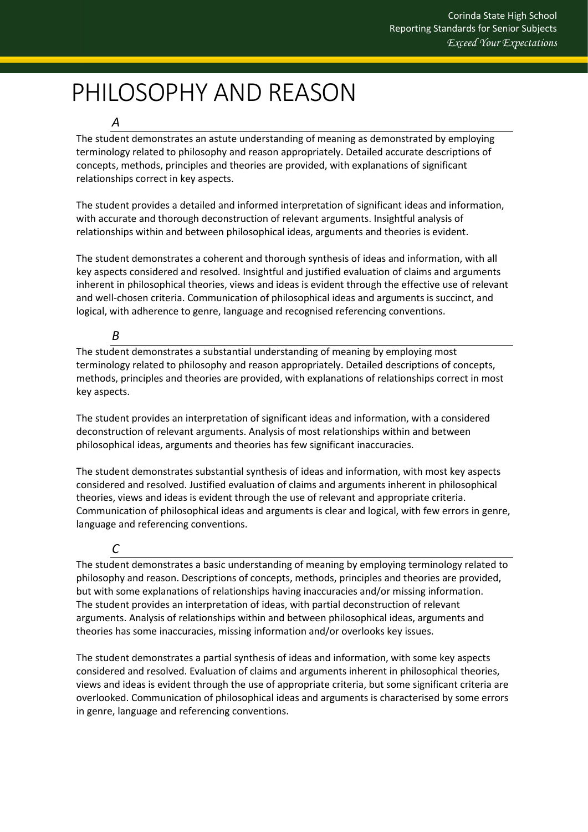# <span id="page-21-0"></span>PHILOSOPHY AND REASON

#### *A*

The student demonstrates an astute understanding of meaning as demonstrated by employing terminology related to philosophy and reason appropriately. Detailed accurate descriptions of concepts, methods, principles and theories are provided, with explanations of significant relationships correct in key aspects.

The student provides a detailed and informed interpretation of significant ideas and information, with accurate and thorough deconstruction of relevant arguments. Insightful analysis of relationships within and between philosophical ideas, arguments and theories is evident.

The student demonstrates a coherent and thorough synthesis of ideas and information, with all key aspects considered and resolved. Insightful and justified evaluation of claims and arguments inherent in philosophical theories, views and ideas is evident through the effective use of relevant and well-chosen criteria. Communication of philosophical ideas and arguments is succinct, and logical, with adherence to genre, language and recognised referencing conventions.

### *B*

The student demonstrates a substantial understanding of meaning by employing most terminology related to philosophy and reason appropriately. Detailed descriptions of concepts, methods, principles and theories are provided, with explanations of relationships correct in most key aspects.

The student provides an interpretation of significant ideas and information, with a considered deconstruction of relevant arguments. Analysis of most relationships within and between philosophical ideas, arguments and theories has few significant inaccuracies.

The student demonstrates substantial synthesis of ideas and information, with most key aspects considered and resolved. Justified evaluation of claims and arguments inherent in philosophical theories, views and ideas is evident through the use of relevant and appropriate criteria. Communication of philosophical ideas and arguments is clear and logical, with few errors in genre, language and referencing conventions.

# *C*

The student demonstrates a basic understanding of meaning by employing terminology related to philosophy and reason. Descriptions of concepts, methods, principles and theories are provided, but with some explanations of relationships having inaccuracies and/or missing information. The student provides an interpretation of ideas, with partial deconstruction of relevant arguments. Analysis of relationships within and between philosophical ideas, arguments and theories has some inaccuracies, missing information and/or overlooks key issues.

The student demonstrates a partial synthesis of ideas and information, with some key aspects considered and resolved. Evaluation of claims and arguments inherent in philosophical theories, views and ideas is evident through the use of appropriate criteria, but some significant criteria are overlooked. Communication of philosophical ideas and arguments is characterised by some errors in genre, language and referencing conventions.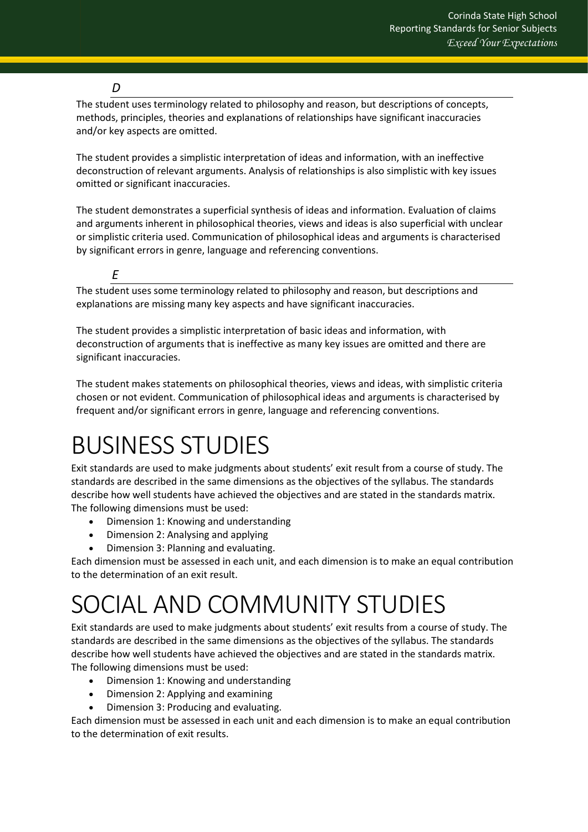### *D*

The student uses terminology related to philosophy and reason, but descriptions of concepts, methods, principles, theories and explanations of relationships have significant inaccuracies and/or key aspects are omitted.

The student provides a simplistic interpretation of ideas and information, with an ineffective deconstruction of relevant arguments. Analysis of relationships is also simplistic with key issues omitted or significant inaccuracies.

The student demonstrates a superficial synthesis of ideas and information. Evaluation of claims and arguments inherent in philosophical theories, views and ideas is also superficial with unclear or simplistic criteria used. Communication of philosophical ideas and arguments is characterised by significant errors in genre, language and referencing conventions.

*E* 

The student uses some terminology related to philosophy and reason, but descriptions and explanations are missing many key aspects and have significant inaccuracies.

The student provides a simplistic interpretation of basic ideas and information, with deconstruction of arguments that is ineffective as many key issues are omitted and there are significant inaccuracies.

The student makes statements on philosophical theories, views and ideas, with simplistic criteria chosen or not evident. Communication of philosophical ideas and arguments is characterised by frequent and/or significant errors in genre, language and referencing conventions.

# <span id="page-22-0"></span>BUSINESS STUDIES

Exit standards are used to make judgments about students' exit result from a course of study. The standards are described in the same dimensions as the objectives of the syllabus. The standards describe how well students have achieved the objectives and are stated in the standards matrix. The following dimensions must be used:

- Dimension 1: Knowing and understanding
- Dimension 2: Analysing and applying
- Dimension 3: Planning and evaluating.

Each dimension must be assessed in each unit, and each dimension is to make an equal contribution to the determination of an exit result.

# <span id="page-22-1"></span>SOCIAL AND COMMUNITY STUDIES

Exit standards are used to make judgments about students' exit results from a course of study. The standards are described in the same dimensions as the objectives of the syllabus. The standards describe how well students have achieved the objectives and are stated in the standards matrix. The following dimensions must be used:

- Dimension 1: Knowing and understanding
- Dimension 2: Applying and examining
- Dimension 3: Producing and evaluating.

Each dimension must be assessed in each unit and each dimension is to make an equal contribution to the determination of exit results.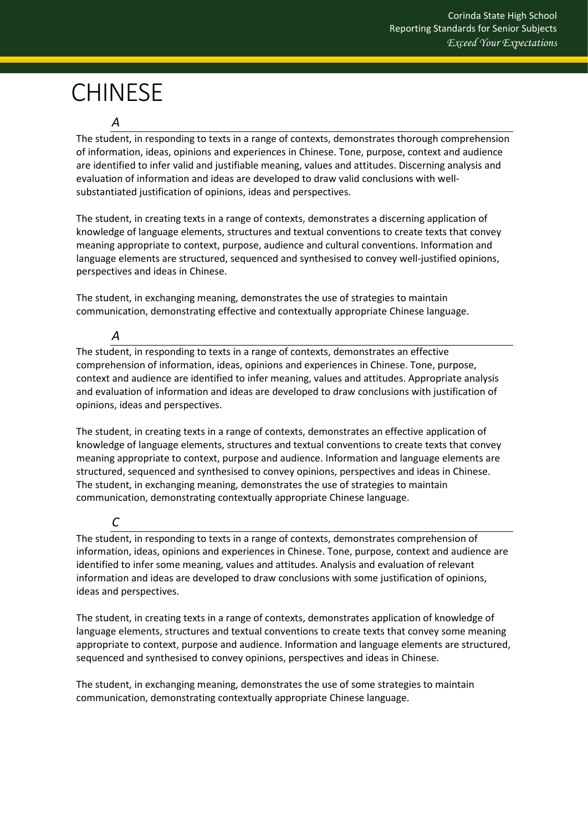# <span id="page-23-0"></span>CHINESE

#### *A*

The student, in responding to texts in a range of contexts, demonstrates thorough comprehension of information, ideas, opinions and experiences in Chinese. Tone, purpose, context and audience are identified to infer valid and justifiable meaning, values and attitudes. Discerning analysis and evaluation of information and ideas are developed to draw valid conclusions with wellsubstantiated justification of opinions, ideas and perspectives.

The student, in creating texts in a range of contexts, demonstrates a discerning application of knowledge of language elements, structures and textual conventions to create texts that convey meaning appropriate to context, purpose, audience and cultural conventions. Information and language elements are structured, sequenced and synthesised to convey well-justified opinions, perspectives and ideas in Chinese.

The student, in exchanging meaning, demonstrates the use of strategies to maintain communication, demonstrating effective and contextually appropriate Chinese language.

## *A*

The student, in responding to texts in a range of contexts, demonstrates an effective comprehension of information, ideas, opinions and experiences in Chinese. Tone, purpose, context and audience are identified to infer meaning, values and attitudes. Appropriate analysis and evaluation of information and ideas are developed to draw conclusions with justification of opinions, ideas and perspectives.

The student, in creating texts in a range of contexts, demonstrates an effective application of knowledge of language elements, structures and textual conventions to create texts that convey meaning appropriate to context, purpose and audience. Information and language elements are structured, sequenced and synthesised to convey opinions, perspectives and ideas in Chinese. The student, in exchanging meaning, demonstrates the use of strategies to maintain communication, demonstrating contextually appropriate Chinese language.

#### *C*

The student, in responding to texts in a range of contexts, demonstrates comprehension of information, ideas, opinions and experiences in Chinese. Tone, purpose, context and audience are identified to infer some meaning, values and attitudes. Analysis and evaluation of relevant information and ideas are developed to draw conclusions with some justification of opinions, ideas and perspectives.

The student, in creating texts in a range of contexts, demonstrates application of knowledge of language elements, structures and textual conventions to create texts that convey some meaning appropriate to context, purpose and audience. Information and language elements are structured, sequenced and synthesised to convey opinions, perspectives and ideas in Chinese.

The student, in exchanging meaning, demonstrates the use of some strategies to maintain communication, demonstrating contextually appropriate Chinese language.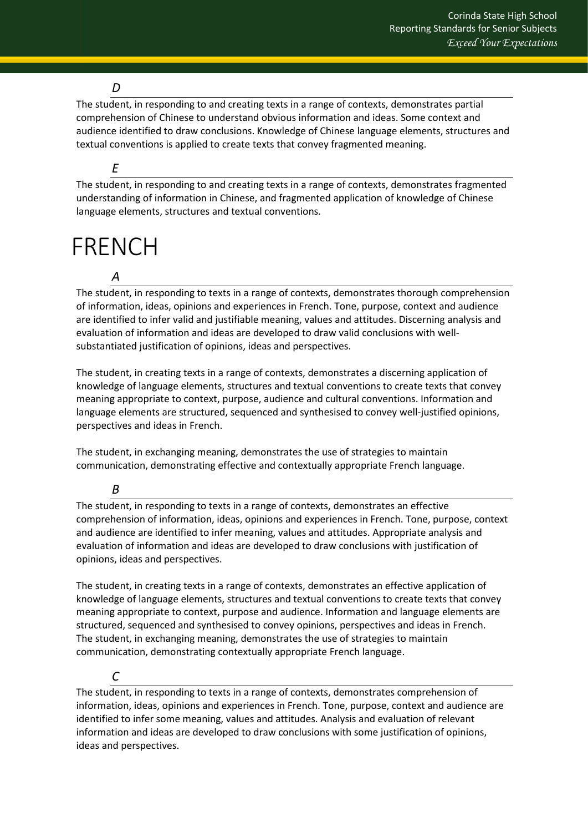# *D*

The student, in responding to and creating texts in a range of contexts, demonstrates partial comprehension of Chinese to understand obvious information and ideas. Some context and audience identified to draw conclusions. Knowledge of Chinese language elements, structures and textual conventions is applied to create texts that convey fragmented meaning.

### *E*

The student, in responding to and creating texts in a range of contexts, demonstrates fragmented understanding of information in Chinese, and fragmented application of knowledge of Chinese language elements, structures and textual conventions.

# <span id="page-24-0"></span>FRENCH

### *A*

The student, in responding to texts in a range of contexts, demonstrates thorough comprehension of information, ideas, opinions and experiences in French. Tone, purpose, context and audience are identified to infer valid and justifiable meaning, values and attitudes. Discerning analysis and evaluation of information and ideas are developed to draw valid conclusions with wellsubstantiated justification of opinions, ideas and perspectives.

The student, in creating texts in a range of contexts, demonstrates a discerning application of knowledge of language elements, structures and textual conventions to create texts that convey meaning appropriate to context, purpose, audience and cultural conventions. Information and language elements are structured, sequenced and synthesised to convey well-justified opinions, perspectives and ideas in French.

The student, in exchanging meaning, demonstrates the use of strategies to maintain communication, demonstrating effective and contextually appropriate French language.

#### *B*

The student, in responding to texts in a range of contexts, demonstrates an effective comprehension of information, ideas, opinions and experiences in French. Tone, purpose, context and audience are identified to infer meaning, values and attitudes. Appropriate analysis and evaluation of information and ideas are developed to draw conclusions with justification of opinions, ideas and perspectives.

The student, in creating texts in a range of contexts, demonstrates an effective application of knowledge of language elements, structures and textual conventions to create texts that convey meaning appropriate to context, purpose and audience. Information and language elements are structured, sequenced and synthesised to convey opinions, perspectives and ideas in French. The student, in exchanging meaning, demonstrates the use of strategies to maintain communication, demonstrating contextually appropriate French language.

## *C*

The student, in responding to texts in a range of contexts, demonstrates comprehension of information, ideas, opinions and experiences in French. Tone, purpose, context and audience are identified to infer some meaning, values and attitudes. Analysis and evaluation of relevant information and ideas are developed to draw conclusions with some justification of opinions, ideas and perspectives.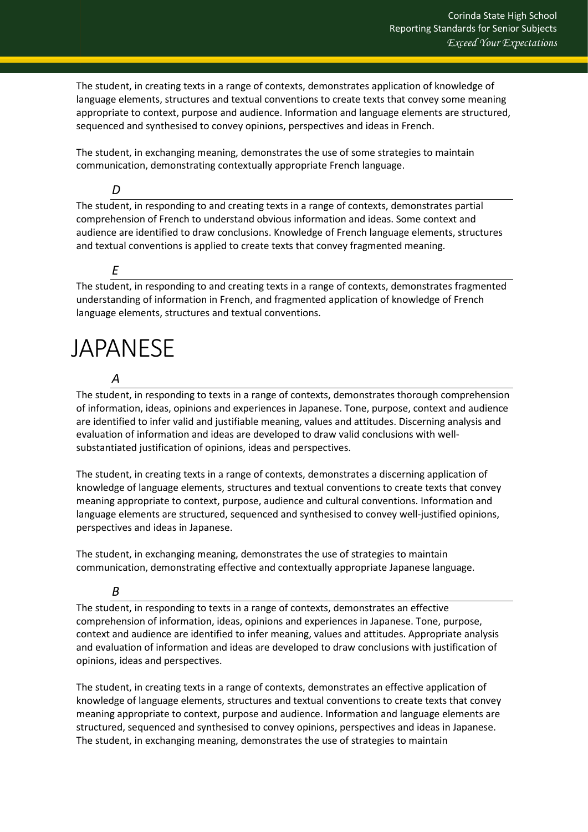The student, in creating texts in a range of contexts, demonstrates application of knowledge of language elements, structures and textual conventions to create texts that convey some meaning appropriate to context, purpose and audience. Information and language elements are structured, sequenced and synthesised to convey opinions, perspectives and ideas in French.

The student, in exchanging meaning, demonstrates the use of some strategies to maintain communication, demonstrating contextually appropriate French language.

*D*

The student, in responding to and creating texts in a range of contexts, demonstrates partial comprehension of French to understand obvious information and ideas. Some context and audience are identified to draw conclusions. Knowledge of French language elements, structures and textual conventions is applied to create texts that convey fragmented meaning.

*E* 

The student, in responding to and creating texts in a range of contexts, demonstrates fragmented understanding of information in French, and fragmented application of knowledge of French language elements, structures and textual conventions.

# <span id="page-25-0"></span>JAPANESE

*A*

The student, in responding to texts in a range of contexts, demonstrates thorough comprehension of information, ideas, opinions and experiences in Japanese. Tone, purpose, context and audience are identified to infer valid and justifiable meaning, values and attitudes. Discerning analysis and evaluation of information and ideas are developed to draw valid conclusions with wellsubstantiated justification of opinions, ideas and perspectives.

The student, in creating texts in a range of contexts, demonstrates a discerning application of knowledge of language elements, structures and textual conventions to create texts that convey meaning appropriate to context, purpose, audience and cultural conventions. Information and language elements are structured, sequenced and synthesised to convey well-justified opinions, perspectives and ideas in Japanese.

The student, in exchanging meaning, demonstrates the use of strategies to maintain communication, demonstrating effective and contextually appropriate Japanese language.

## *B*

The student, in responding to texts in a range of contexts, demonstrates an effective comprehension of information, ideas, opinions and experiences in Japanese. Tone, purpose, context and audience are identified to infer meaning, values and attitudes. Appropriate analysis and evaluation of information and ideas are developed to draw conclusions with justification of opinions, ideas and perspectives.

The student, in creating texts in a range of contexts, demonstrates an effective application of knowledge of language elements, structures and textual conventions to create texts that convey meaning appropriate to context, purpose and audience. Information and language elements are structured, sequenced and synthesised to convey opinions, perspectives and ideas in Japanese. The student, in exchanging meaning, demonstrates the use of strategies to maintain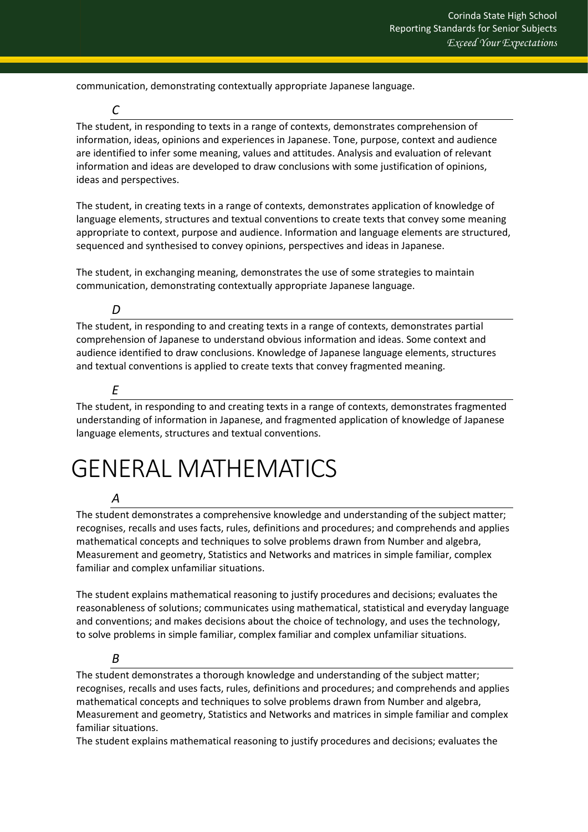communication, demonstrating contextually appropriate Japanese language.

The student, in responding to texts in a range of contexts, demonstrates comprehension of information, ideas, opinions and experiences in Japanese. Tone, purpose, context and audience are identified to infer some meaning, values and attitudes. Analysis and evaluation of relevant information and ideas are developed to draw conclusions with some justification of opinions, ideas and perspectives.

The student, in creating texts in a range of contexts, demonstrates application of knowledge of language elements, structures and textual conventions to create texts that convey some meaning appropriate to context, purpose and audience. Information and language elements are structured, sequenced and synthesised to convey opinions, perspectives and ideas in Japanese.

The student, in exchanging meaning, demonstrates the use of some strategies to maintain communication, demonstrating contextually appropriate Japanese language.

## *D*

*C*

The student, in responding to and creating texts in a range of contexts, demonstrates partial comprehension of Japanese to understand obvious information and ideas. Some context and audience identified to draw conclusions. Knowledge of Japanese language elements, structures and textual conventions is applied to create texts that convey fragmented meaning.

# *E*

The student, in responding to and creating texts in a range of contexts, demonstrates fragmented understanding of information in Japanese, and fragmented application of knowledge of Japanese language elements, structures and textual conventions.

# <span id="page-26-0"></span>GENERAL MATHEMATICS

## *A*

The student demonstrates a comprehensive knowledge and understanding of the subject matter; recognises, recalls and uses facts, rules, definitions and procedures; and comprehends and applies mathematical concepts and techniques to solve problems drawn from Number and algebra, Measurement and geometry, Statistics and Networks and matrices in simple familiar, complex familiar and complex unfamiliar situations.

The student explains mathematical reasoning to justify procedures and decisions; evaluates the reasonableness of solutions; communicates using mathematical, statistical and everyday language and conventions; and makes decisions about the choice of technology, and uses the technology, to solve problems in simple familiar, complex familiar and complex unfamiliar situations.

## *B*

The student demonstrates a thorough knowledge and understanding of the subject matter; recognises, recalls and uses facts, rules, definitions and procedures; and comprehends and applies mathematical concepts and techniques to solve problems drawn from Number and algebra, Measurement and geometry, Statistics and Networks and matrices in simple familiar and complex familiar situations.

The student explains mathematical reasoning to justify procedures and decisions; evaluates the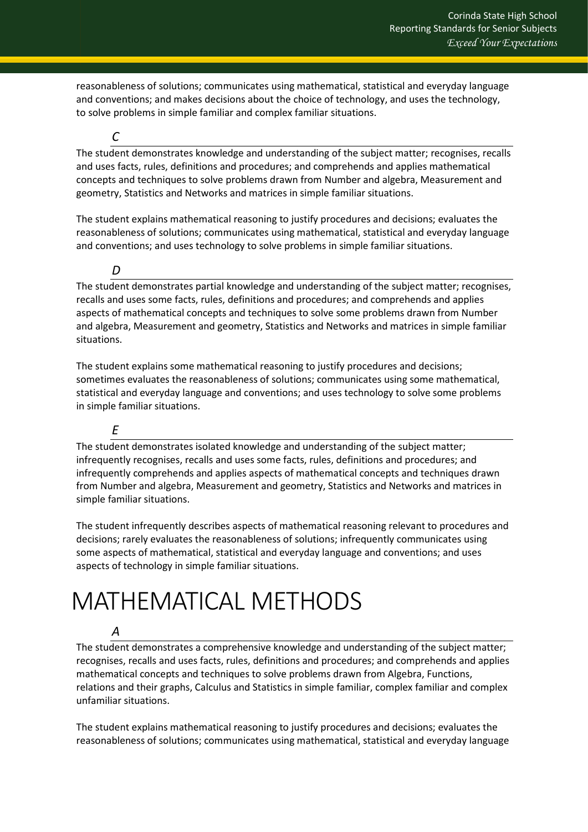reasonableness of solutions; communicates using mathematical, statistical and everyday language and conventions; and makes decisions about the choice of technology, and uses the technology, to solve problems in simple familiar and complex familiar situations.

The student demonstrates knowledge and understanding of the subject matter; recognises, recalls and uses facts, rules, definitions and procedures; and comprehends and applies mathematical concepts and techniques to solve problems drawn from Number and algebra, Measurement and geometry, Statistics and Networks and matrices in simple familiar situations.

The student explains mathematical reasoning to justify procedures and decisions; evaluates the reasonableness of solutions; communicates using mathematical, statistical and everyday language and conventions; and uses technology to solve problems in simple familiar situations.

*D* 

*C*

The student demonstrates partial knowledge and understanding of the subject matter; recognises, recalls and uses some facts, rules, definitions and procedures; and comprehends and applies aspects of mathematical concepts and techniques to solve some problems drawn from Number and algebra, Measurement and geometry, Statistics and Networks and matrices in simple familiar situations.

The student explains some mathematical reasoning to justify procedures and decisions; sometimes evaluates the reasonableness of solutions; communicates using some mathematical, statistical and everyday language and conventions; and uses technology to solve some problems in simple familiar situations.

# *E*

The student demonstrates isolated knowledge and understanding of the subject matter; infrequently recognises, recalls and uses some facts, rules, definitions and procedures; and infrequently comprehends and applies aspects of mathematical concepts and techniques drawn from Number and algebra, Measurement and geometry, Statistics and Networks and matrices in simple familiar situations.

The student infrequently describes aspects of mathematical reasoning relevant to procedures and decisions; rarely evaluates the reasonableness of solutions; infrequently communicates using some aspects of mathematical, statistical and everyday language and conventions; and uses aspects of technology in simple familiar situations.

# <span id="page-27-0"></span>MATHEMATICAL METHODS

## *A*

The student demonstrates a comprehensive knowledge and understanding of the subject matter; recognises, recalls and uses facts, rules, definitions and procedures; and comprehends and applies mathematical concepts and techniques to solve problems drawn from Algebra, Functions, relations and their graphs, Calculus and Statistics in simple familiar, complex familiar and complex unfamiliar situations.

The student explains mathematical reasoning to justify procedures and decisions; evaluates the reasonableness of solutions; communicates using mathematical, statistical and everyday language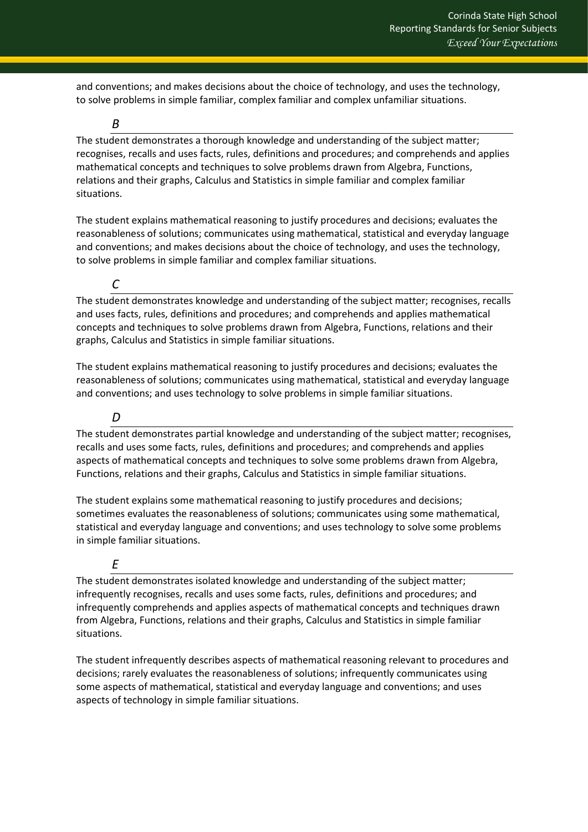and conventions; and makes decisions about the choice of technology, and uses the technology, to solve problems in simple familiar, complex familiar and complex unfamiliar situations.

*B*

The student demonstrates a thorough knowledge and understanding of the subject matter; recognises, recalls and uses facts, rules, definitions and procedures; and comprehends and applies mathematical concepts and techniques to solve problems drawn from Algebra, Functions, relations and their graphs, Calculus and Statistics in simple familiar and complex familiar situations.

The student explains mathematical reasoning to justify procedures and decisions; evaluates the reasonableness of solutions; communicates using mathematical, statistical and everyday language and conventions; and makes decisions about the choice of technology, and uses the technology, to solve problems in simple familiar and complex familiar situations.

*C*

The student demonstrates knowledge and understanding of the subject matter; recognises, recalls and uses facts, rules, definitions and procedures; and comprehends and applies mathematical concepts and techniques to solve problems drawn from Algebra, Functions, relations and their graphs, Calculus and Statistics in simple familiar situations.

The student explains mathematical reasoning to justify procedures and decisions; evaluates the reasonableness of solutions; communicates using mathematical, statistical and everyday language and conventions; and uses technology to solve problems in simple familiar situations.

*D* 

The student demonstrates partial knowledge and understanding of the subject matter; recognises, recalls and uses some facts, rules, definitions and procedures; and comprehends and applies aspects of mathematical concepts and techniques to solve some problems drawn from Algebra, Functions, relations and their graphs, Calculus and Statistics in simple familiar situations.

The student explains some mathematical reasoning to justify procedures and decisions; sometimes evaluates the reasonableness of solutions; communicates using some mathematical, statistical and everyday language and conventions; and uses technology to solve some problems in simple familiar situations.

# *E*

The student demonstrates isolated knowledge and understanding of the subject matter; infrequently recognises, recalls and uses some facts, rules, definitions and procedures; and infrequently comprehends and applies aspects of mathematical concepts and techniques drawn from Algebra, Functions, relations and their graphs, Calculus and Statistics in simple familiar situations.

The student infrequently describes aspects of mathematical reasoning relevant to procedures and decisions; rarely evaluates the reasonableness of solutions; infrequently communicates using some aspects of mathematical, statistical and everyday language and conventions; and uses aspects of technology in simple familiar situations.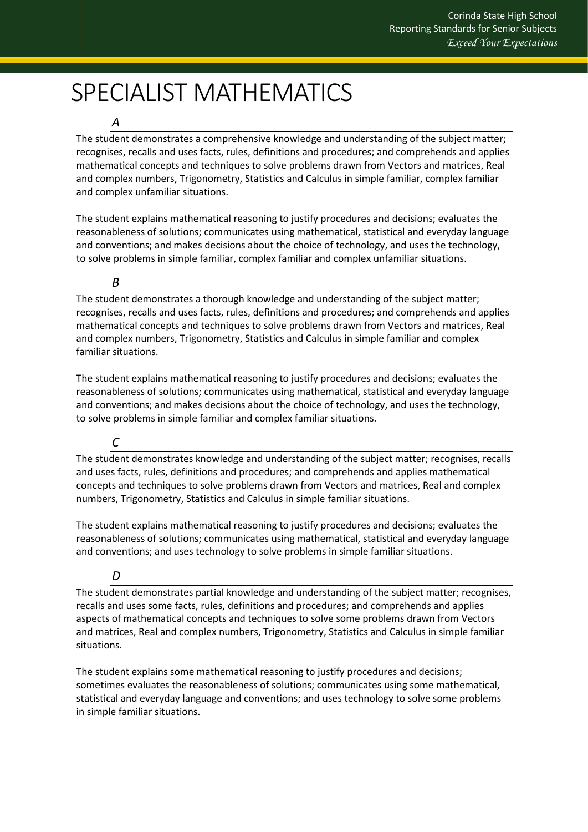# <span id="page-29-0"></span>SPECIALIST MATHEMATICS

### *A*

The student demonstrates a comprehensive knowledge and understanding of the subject matter; recognises, recalls and uses facts, rules, definitions and procedures; and comprehends and applies mathematical concepts and techniques to solve problems drawn from Vectors and matrices, Real and complex numbers, Trigonometry, Statistics and Calculus in simple familiar, complex familiar and complex unfamiliar situations.

The student explains mathematical reasoning to justify procedures and decisions; evaluates the reasonableness of solutions; communicates using mathematical, statistical and everyday language and conventions; and makes decisions about the choice of technology, and uses the technology, to solve problems in simple familiar, complex familiar and complex unfamiliar situations.

### *B*

The student demonstrates a thorough knowledge and understanding of the subject matter; recognises, recalls and uses facts, rules, definitions and procedures; and comprehends and applies mathematical concepts and techniques to solve problems drawn from Vectors and matrices, Real and complex numbers, Trigonometry, Statistics and Calculus in simple familiar and complex familiar situations.

The student explains mathematical reasoning to justify procedures and decisions; evaluates the reasonableness of solutions; communicates using mathematical, statistical and everyday language and conventions; and makes decisions about the choice of technology, and uses the technology, to solve problems in simple familiar and complex familiar situations.

## *C*

The student demonstrates knowledge and understanding of the subject matter; recognises, recalls and uses facts, rules, definitions and procedures; and comprehends and applies mathematical concepts and techniques to solve problems drawn from Vectors and matrices, Real and complex numbers, Trigonometry, Statistics and Calculus in simple familiar situations.

The student explains mathematical reasoning to justify procedures and decisions; evaluates the reasonableness of solutions; communicates using mathematical, statistical and everyday language and conventions; and uses technology to solve problems in simple familiar situations.

## *D*

The student demonstrates partial knowledge and understanding of the subject matter; recognises, recalls and uses some facts, rules, definitions and procedures; and comprehends and applies aspects of mathematical concepts and techniques to solve some problems drawn from Vectors and matrices, Real and complex numbers, Trigonometry, Statistics and Calculus in simple familiar situations.

The student explains some mathematical reasoning to justify procedures and decisions; sometimes evaluates the reasonableness of solutions; communicates using some mathematical, statistical and everyday language and conventions; and uses technology to solve some problems in simple familiar situations.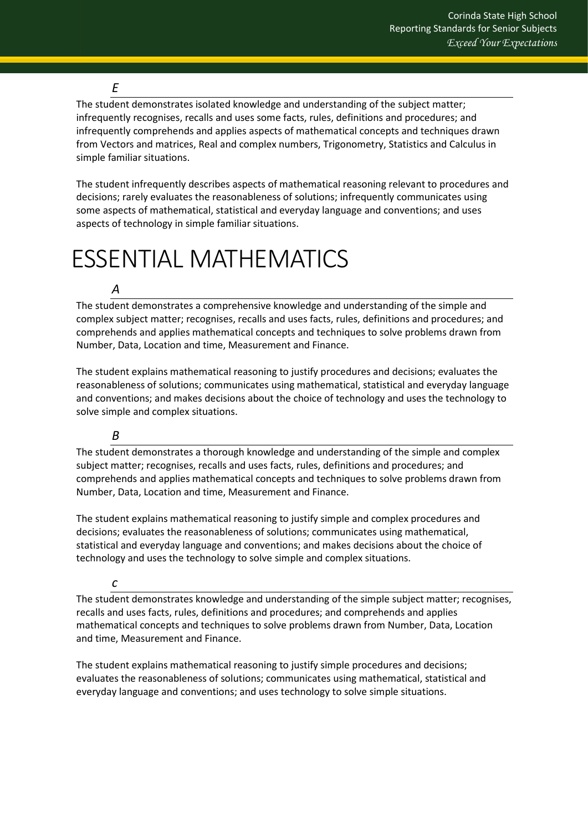#### *E*

The student demonstrates isolated knowledge and understanding of the subject matter; infrequently recognises, recalls and uses some facts, rules, definitions and procedures; and infrequently comprehends and applies aspects of mathematical concepts and techniques drawn from Vectors and matrices, Real and complex numbers, Trigonometry, Statistics and Calculus in simple familiar situations.

The student infrequently describes aspects of mathematical reasoning relevant to procedures and decisions; rarely evaluates the reasonableness of solutions; infrequently communicates using some aspects of mathematical, statistical and everyday language and conventions; and uses aspects of technology in simple familiar situations.

# <span id="page-30-0"></span>ESSENTIAL MATHEMATICS

## *A*

The student demonstrates a comprehensive knowledge and understanding of the simple and complex subject matter; recognises, recalls and uses facts, rules, definitions and procedures; and comprehends and applies mathematical concepts and techniques to solve problems drawn from Number, Data, Location and time, Measurement and Finance.

The student explains mathematical reasoning to justify procedures and decisions; evaluates the reasonableness of solutions; communicates using mathematical, statistical and everyday language and conventions; and makes decisions about the choice of technology and uses the technology to solve simple and complex situations.

## *B*

The student demonstrates a thorough knowledge and understanding of the simple and complex subject matter; recognises, recalls and uses facts, rules, definitions and procedures; and comprehends and applies mathematical concepts and techniques to solve problems drawn from Number, Data, Location and time, Measurement and Finance.

The student explains mathematical reasoning to justify simple and complex procedures and decisions; evaluates the reasonableness of solutions; communicates using mathematical, statistical and everyday language and conventions; and makes decisions about the choice of technology and uses the technology to solve simple and complex situations.

#### *c*

The student demonstrates knowledge and understanding of the simple subject matter; recognises, recalls and uses facts, rules, definitions and procedures; and comprehends and applies mathematical concepts and techniques to solve problems drawn from Number, Data, Location and time, Measurement and Finance.

The student explains mathematical reasoning to justify simple procedures and decisions; evaluates the reasonableness of solutions; communicates using mathematical, statistical and everyday language and conventions; and uses technology to solve simple situations.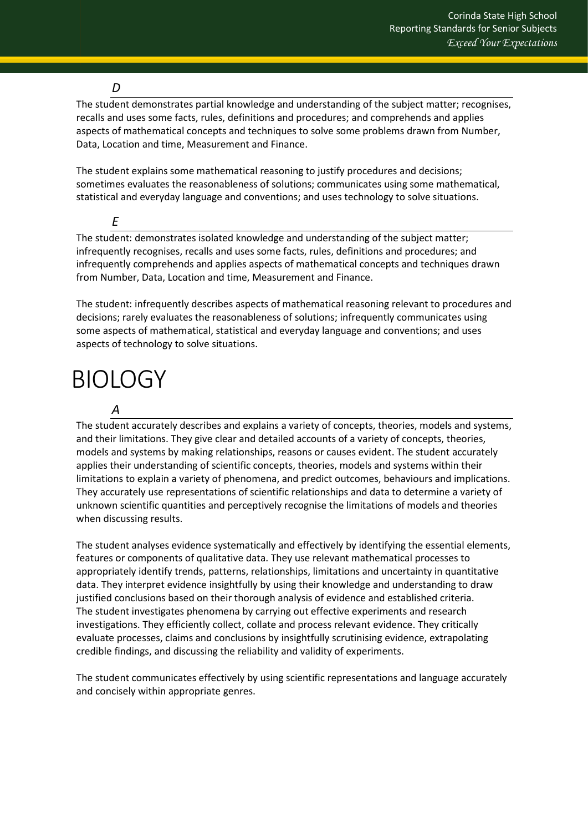#### *D*

The student demonstrates partial knowledge and understanding of the subject matter; recognises, recalls and uses some facts, rules, definitions and procedures; and comprehends and applies aspects of mathematical concepts and techniques to solve some problems drawn from Number, Data, Location and time, Measurement and Finance.

The student explains some mathematical reasoning to justify procedures and decisions; sometimes evaluates the reasonableness of solutions; communicates using some mathematical, statistical and everyday language and conventions; and uses technology to solve situations.

*E* The student: demonstrates isolated knowledge and understanding of the subject matter; infrequently recognises, recalls and uses some facts, rules, definitions and procedures; and infrequently comprehends and applies aspects of mathematical concepts and techniques drawn from Number, Data, Location and time, Measurement and Finance.

The student: infrequently describes aspects of mathematical reasoning relevant to procedures and decisions; rarely evaluates the reasonableness of solutions; infrequently communicates using some aspects of mathematical, statistical and everyday language and conventions; and uses aspects of technology to solve situations.

# <span id="page-31-0"></span>**BIOLOGY**

## *A*

The student accurately describes and explains a variety of concepts, theories, models and systems, and their limitations. They give clear and detailed accounts of a variety of concepts, theories, models and systems by making relationships, reasons or causes evident. The student accurately applies their understanding of scientific concepts, theories, models and systems within their limitations to explain a variety of phenomena, and predict outcomes, behaviours and implications. They accurately use representations of scientific relationships and data to determine a variety of unknown scientific quantities and perceptively recognise the limitations of models and theories when discussing results.

The student analyses evidence systematically and effectively by identifying the essential elements, features or components of qualitative data. They use relevant mathematical processes to appropriately identify trends, patterns, relationships, limitations and uncertainty in quantitative data. They interpret evidence insightfully by using their knowledge and understanding to draw justified conclusions based on their thorough analysis of evidence and established criteria. The student investigates phenomena by carrying out effective experiments and research investigations. They efficiently collect, collate and process relevant evidence. They critically evaluate processes, claims and conclusions by insightfully scrutinising evidence, extrapolating credible findings, and discussing the reliability and validity of experiments.

The student communicates effectively by using scientific representations and language accurately and concisely within appropriate genres.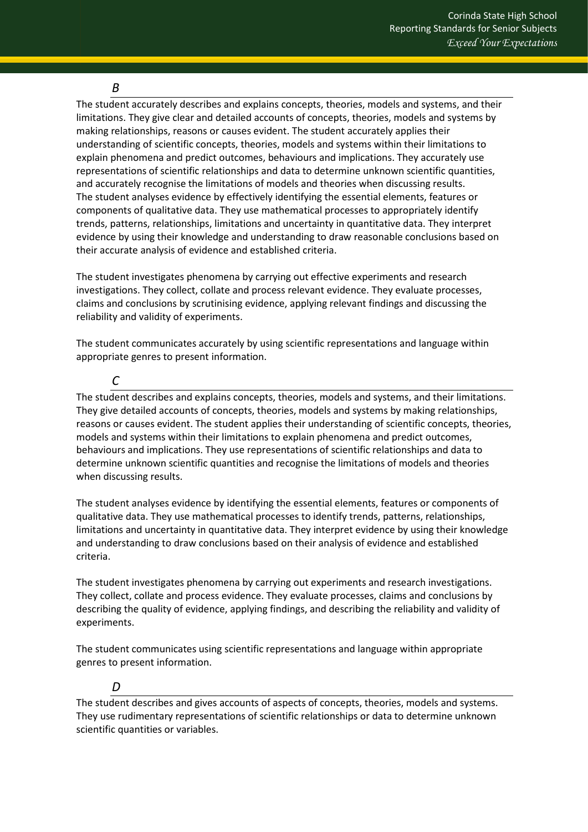#### *B*

The student accurately describes and explains concepts, theories, models and systems, and their limitations. They give clear and detailed accounts of concepts, theories, models and systems by making relationships, reasons or causes evident. The student accurately applies their understanding of scientific concepts, theories, models and systems within their limitations to explain phenomena and predict outcomes, behaviours and implications. They accurately use representations of scientific relationships and data to determine unknown scientific quantities, and accurately recognise the limitations of models and theories when discussing results. The student analyses evidence by effectively identifying the essential elements, features or components of qualitative data. They use mathematical processes to appropriately identify trends, patterns, relationships, limitations and uncertainty in quantitative data. They interpret evidence by using their knowledge and understanding to draw reasonable conclusions based on their accurate analysis of evidence and established criteria.

The student investigates phenomena by carrying out effective experiments and research investigations. They collect, collate and process relevant evidence. They evaluate processes, claims and conclusions by scrutinising evidence, applying relevant findings and discussing the reliability and validity of experiments.

The student communicates accurately by using scientific representations and language within appropriate genres to present information.

#### *C*

The student describes and explains concepts, theories, models and systems, and their limitations. They give detailed accounts of concepts, theories, models and systems by making relationships, reasons or causes evident. The student applies their understanding of scientific concepts, theories, models and systems within their limitations to explain phenomena and predict outcomes, behaviours and implications. They use representations of scientific relationships and data to determine unknown scientific quantities and recognise the limitations of models and theories when discussing results.

The student analyses evidence by identifying the essential elements, features or components of qualitative data. They use mathematical processes to identify trends, patterns, relationships, limitations and uncertainty in quantitative data. They interpret evidence by using their knowledge and understanding to draw conclusions based on their analysis of evidence and established criteria.

The student investigates phenomena by carrying out experiments and research investigations. They collect, collate and process evidence. They evaluate processes, claims and conclusions by describing the quality of evidence, applying findings, and describing the reliability and validity of experiments.

The student communicates using scientific representations and language within appropriate genres to present information.

#### *D*

The student describes and gives accounts of aspects of concepts, theories, models and systems. They use rudimentary representations of scientific relationships or data to determine unknown scientific quantities or variables.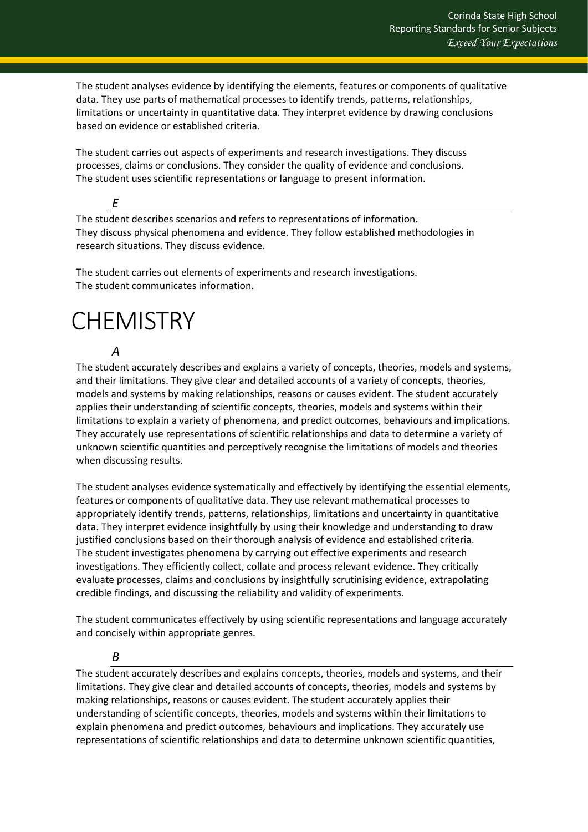The student analyses evidence by identifying the elements, features or components of qualitative data. They use parts of mathematical processes to identify trends, patterns, relationships, limitations or uncertainty in quantitative data. They interpret evidence by drawing conclusions based on evidence or established criteria.

The student carries out aspects of experiments and research investigations. They discuss processes, claims or conclusions. They consider the quality of evidence and conclusions. The student uses scientific representations or language to present information.

*E*

The student describes scenarios and refers to representations of information. They discuss physical phenomena and evidence. They follow established methodologies in research situations. They discuss evidence.

The student carries out elements of experiments and research investigations. The student communicates information.

# <span id="page-33-0"></span>**CHEMISTRY**

*A* The student accurately describes and explains a variety of concepts, theories, models and systems, and their limitations. They give clear and detailed accounts of a variety of concepts, theories, models and systems by making relationships, reasons or causes evident. The student accurately applies their understanding of scientific concepts, theories, models and systems within their limitations to explain a variety of phenomena, and predict outcomes, behaviours and implications. They accurately use representations of scientific relationships and data to determine a variety of unknown scientific quantities and perceptively recognise the limitations of models and theories when discussing results.

The student analyses evidence systematically and effectively by identifying the essential elements, features or components of qualitative data. They use relevant mathematical processes to appropriately identify trends, patterns, relationships, limitations and uncertainty in quantitative data. They interpret evidence insightfully by using their knowledge and understanding to draw justified conclusions based on their thorough analysis of evidence and established criteria. The student investigates phenomena by carrying out effective experiments and research investigations. They efficiently collect, collate and process relevant evidence. They critically evaluate processes, claims and conclusions by insightfully scrutinising evidence, extrapolating credible findings, and discussing the reliability and validity of experiments.

The student communicates effectively by using scientific representations and language accurately and concisely within appropriate genres.

## *B*

The student accurately describes and explains concepts, theories, models and systems, and their limitations. They give clear and detailed accounts of concepts, theories, models and systems by making relationships, reasons or causes evident. The student accurately applies their understanding of scientific concepts, theories, models and systems within their limitations to explain phenomena and predict outcomes, behaviours and implications. They accurately use representations of scientific relationships and data to determine unknown scientific quantities,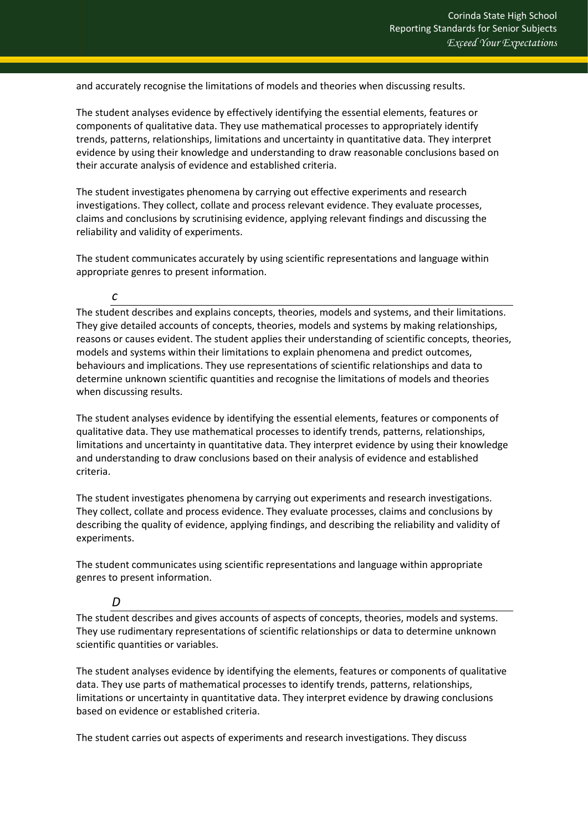and accurately recognise the limitations of models and theories when discussing results.

The student analyses evidence by effectively identifying the essential elements, features or components of qualitative data. They use mathematical processes to appropriately identify trends, patterns, relationships, limitations and uncertainty in quantitative data. They interpret evidence by using their knowledge and understanding to draw reasonable conclusions based on their accurate analysis of evidence and established criteria.

The student investigates phenomena by carrying out effective experiments and research investigations. They collect, collate and process relevant evidence. They evaluate processes, claims and conclusions by scrutinising evidence, applying relevant findings and discussing the reliability and validity of experiments.

The student communicates accurately by using scientific representations and language within appropriate genres to present information.

#### *c*

The student describes and explains concepts, theories, models and systems, and their limitations. They give detailed accounts of concepts, theories, models and systems by making relationships, reasons or causes evident. The student applies their understanding of scientific concepts, theories, models and systems within their limitations to explain phenomena and predict outcomes, behaviours and implications. They use representations of scientific relationships and data to determine unknown scientific quantities and recognise the limitations of models and theories when discussing results.

The student analyses evidence by identifying the essential elements, features or components of qualitative data. They use mathematical processes to identify trends, patterns, relationships, limitations and uncertainty in quantitative data. They interpret evidence by using their knowledge and understanding to draw conclusions based on their analysis of evidence and established criteria.

The student investigates phenomena by carrying out experiments and research investigations. They collect, collate and process evidence. They evaluate processes, claims and conclusions by describing the quality of evidence, applying findings, and describing the reliability and validity of experiments.

The student communicates using scientific representations and language within appropriate genres to present information.

#### *D*

The student describes and gives accounts of aspects of concepts, theories, models and systems. They use rudimentary representations of scientific relationships or data to determine unknown scientific quantities or variables.

The student analyses evidence by identifying the elements, features or components of qualitative data. They use parts of mathematical processes to identify trends, patterns, relationships, limitations or uncertainty in quantitative data. They interpret evidence by drawing conclusions based on evidence or established criteria.

The student carries out aspects of experiments and research investigations. They discuss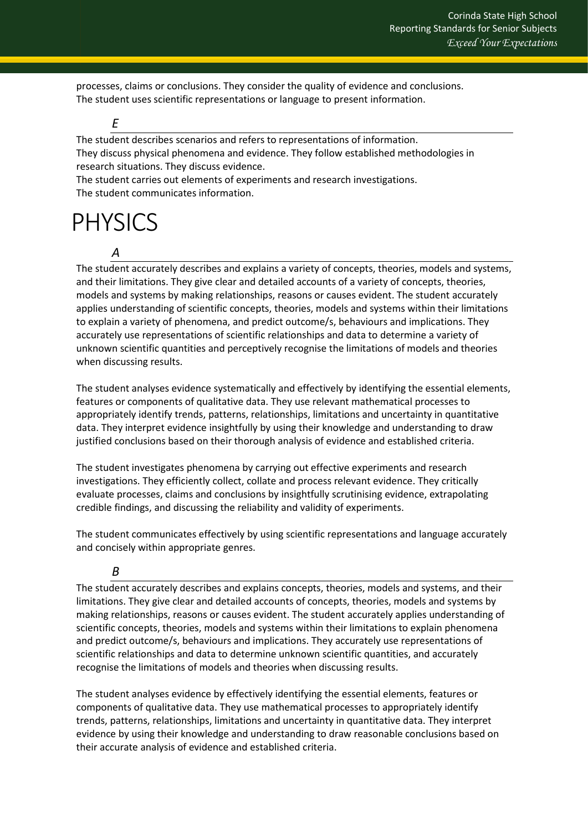processes, claims or conclusions. They consider the quality of evidence and conclusions. The student uses scientific representations or language to present information.

*E*

The student describes scenarios and refers to representations of information. They discuss physical phenomena and evidence. They follow established methodologies in research situations. They discuss evidence.

The student carries out elements of experiments and research investigations. The student communicates information.

# <span id="page-35-0"></span>PHYSICS

*A*

The student accurately describes and explains a variety of concepts, theories, models and systems, and their limitations. They give clear and detailed accounts of a variety of concepts, theories, models and systems by making relationships, reasons or causes evident. The student accurately applies understanding of scientific concepts, theories, models and systems within their limitations to explain a variety of phenomena, and predict outcome/s, behaviours and implications. They accurately use representations of scientific relationships and data to determine a variety of unknown scientific quantities and perceptively recognise the limitations of models and theories when discussing results.

The student analyses evidence systematically and effectively by identifying the essential elements, features or components of qualitative data. They use relevant mathematical processes to appropriately identify trends, patterns, relationships, limitations and uncertainty in quantitative data. They interpret evidence insightfully by using their knowledge and understanding to draw justified conclusions based on their thorough analysis of evidence and established criteria.

The student investigates phenomena by carrying out effective experiments and research investigations. They efficiently collect, collate and process relevant evidence. They critically evaluate processes, claims and conclusions by insightfully scrutinising evidence, extrapolating credible findings, and discussing the reliability and validity of experiments.

The student communicates effectively by using scientific representations and language accurately and concisely within appropriate genres.

# *B*

The student accurately describes and explains concepts, theories, models and systems, and their limitations. They give clear and detailed accounts of concepts, theories, models and systems by making relationships, reasons or causes evident. The student accurately applies understanding of scientific concepts, theories, models and systems within their limitations to explain phenomena and predict outcome/s, behaviours and implications. They accurately use representations of scientific relationships and data to determine unknown scientific quantities, and accurately recognise the limitations of models and theories when discussing results.

The student analyses evidence by effectively identifying the essential elements, features or components of qualitative data. They use mathematical processes to appropriately identify trends, patterns, relationships, limitations and uncertainty in quantitative data. They interpret evidence by using their knowledge and understanding to draw reasonable conclusions based on their accurate analysis of evidence and established criteria.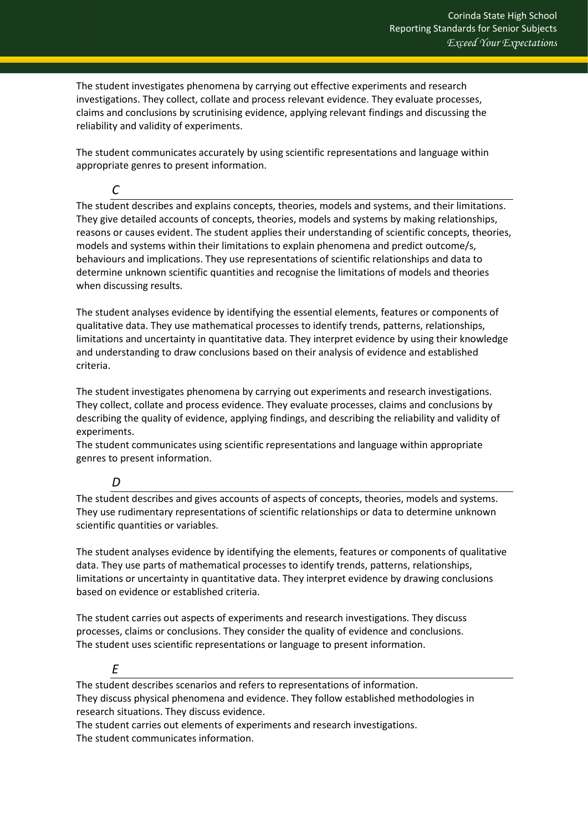The student investigates phenomena by carrying out effective experiments and research investigations. They collect, collate and process relevant evidence. They evaluate processes, claims and conclusions by scrutinising evidence, applying relevant findings and discussing the reliability and validity of experiments.

The student communicates accurately by using scientific representations and language within appropriate genres to present information.

*C*

The student describes and explains concepts, theories, models and systems, and their limitations. They give detailed accounts of concepts, theories, models and systems by making relationships, reasons or causes evident. The student applies their understanding of scientific concepts, theories, models and systems within their limitations to explain phenomena and predict outcome/s, behaviours and implications. They use representations of scientific relationships and data to determine unknown scientific quantities and recognise the limitations of models and theories when discussing results.

The student analyses evidence by identifying the essential elements, features or components of qualitative data. They use mathematical processes to identify trends, patterns, relationships, limitations and uncertainty in quantitative data. They interpret evidence by using their knowledge and understanding to draw conclusions based on their analysis of evidence and established criteria.

The student investigates phenomena by carrying out experiments and research investigations. They collect, collate and process evidence. They evaluate processes, claims and conclusions by describing the quality of evidence, applying findings, and describing the reliability and validity of experiments.

The student communicates using scientific representations and language within appropriate genres to present information.

## *D*

The student describes and gives accounts of aspects of concepts, theories, models and systems. They use rudimentary representations of scientific relationships or data to determine unknown scientific quantities or variables.

The student analyses evidence by identifying the elements, features or components of qualitative data. They use parts of mathematical processes to identify trends, patterns, relationships, limitations or uncertainty in quantitative data. They interpret evidence by drawing conclusions based on evidence or established criteria.

The student carries out aspects of experiments and research investigations. They discuss processes, claims or conclusions. They consider the quality of evidence and conclusions. The student uses scientific representations or language to present information.

# *E*

The student describes scenarios and refers to representations of information. They discuss physical phenomena and evidence. They follow established methodologies in research situations. They discuss evidence.

The student carries out elements of experiments and research investigations. The student communicates information.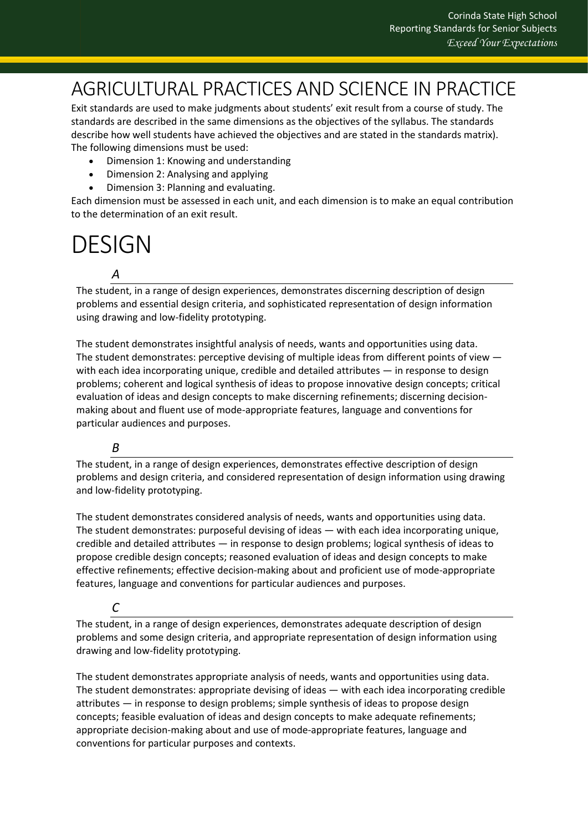# <span id="page-37-0"></span>AGRICULTURAL PRACTICES AND SCIENCE IN PRACTICE

Exit standards are used to make judgments about students' exit result from a course of study. The standards are described in the same dimensions as the objectives of the syllabus. The standards describe how well students have achieved the objectives and are stated in the standards matrix). The following dimensions must be used:

- Dimension 1: Knowing and understanding
- Dimension 2: Analysing and applying
- Dimension 3: Planning and evaluating.

Each dimension must be assessed in each unit, and each dimension is to make an equal contribution to the determination of an exit result.

# <span id="page-37-1"></span>DESIGN

# *A*

The student, in a range of design experiences, demonstrates discerning description of design problems and essential design criteria, and sophisticated representation of design information using drawing and low-fidelity prototyping.

The student demonstrates insightful analysis of needs, wants and opportunities using data. The student demonstrates: perceptive devising of multiple ideas from different points of view with each idea incorporating unique, credible and detailed attributes — in response to design problems; coherent and logical synthesis of ideas to propose innovative design concepts; critical evaluation of ideas and design concepts to make discerning refinements; discerning decisionmaking about and fluent use of mode-appropriate features, language and conventions for particular audiences and purposes.

# *B*

The student, in a range of design experiences, demonstrates effective description of design problems and design criteria, and considered representation of design information using drawing and low-fidelity prototyping.

The student demonstrates considered analysis of needs, wants and opportunities using data. The student demonstrates: purposeful devising of ideas — with each idea incorporating unique, credible and detailed attributes — in response to design problems; logical synthesis of ideas to propose credible design concepts; reasoned evaluation of ideas and design concepts to make effective refinements; effective decision-making about and proficient use of mode-appropriate features, language and conventions for particular audiences and purposes.

## *C*

The student, in a range of design experiences, demonstrates adequate description of design problems and some design criteria, and appropriate representation of design information using drawing and low-fidelity prototyping.

The student demonstrates appropriate analysis of needs, wants and opportunities using data. The student demonstrates: appropriate devising of ideas — with each idea incorporating credible attributes — in response to design problems; simple synthesis of ideas to propose design concepts; feasible evaluation of ideas and design concepts to make adequate refinements; appropriate decision-making about and use of mode-appropriate features, language and conventions for particular purposes and contexts.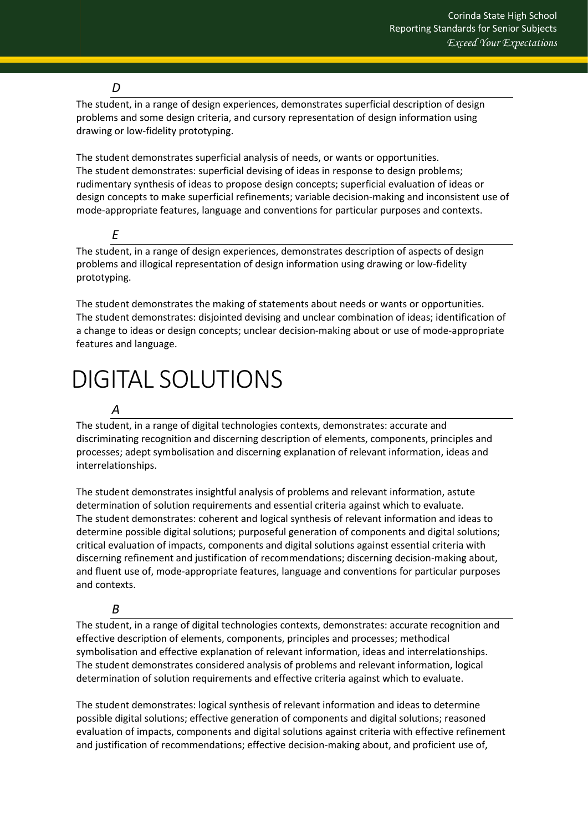## *D*

The student, in a range of design experiences, demonstrates superficial description of design problems and some design criteria, and cursory representation of design information using drawing or low-fidelity prototyping.

The student demonstrates superficial analysis of needs, or wants or opportunities. The student demonstrates: superficial devising of ideas in response to design problems; rudimentary synthesis of ideas to propose design concepts; superficial evaluation of ideas or design concepts to make superficial refinements; variable decision-making and inconsistent use of mode-appropriate features, language and conventions for particular purposes and contexts.

*E*

The student, in a range of design experiences, demonstrates description of aspects of design problems and illogical representation of design information using drawing or low-fidelity prototyping.

The student demonstrates the making of statements about needs or wants or opportunities. The student demonstrates: disjointed devising and unclear combination of ideas; identification of a change to ideas or design concepts; unclear decision-making about or use of mode-appropriate features and language.

# <span id="page-38-0"></span>DIGITAL SOLUTIONS

# *A*

The student, in a range of digital technologies contexts, demonstrates: accurate and discriminating recognition and discerning description of elements, components, principles and processes; adept symbolisation and discerning explanation of relevant information, ideas and interrelationships.

The student demonstrates insightful analysis of problems and relevant information, astute determination of solution requirements and essential criteria against which to evaluate. The student demonstrates: coherent and logical synthesis of relevant information and ideas to determine possible digital solutions; purposeful generation of components and digital solutions; critical evaluation of impacts, components and digital solutions against essential criteria with discerning refinement and justification of recommendations; discerning decision-making about, and fluent use of, mode-appropriate features, language and conventions for particular purposes and contexts.

## *B*

The student, in a range of digital technologies contexts, demonstrates: accurate recognition and effective description of elements, components, principles and processes; methodical symbolisation and effective explanation of relevant information, ideas and interrelationships. The student demonstrates considered analysis of problems and relevant information, logical determination of solution requirements and effective criteria against which to evaluate.

The student demonstrates: logical synthesis of relevant information and ideas to determine possible digital solutions; effective generation of components and digital solutions; reasoned evaluation of impacts, components and digital solutions against criteria with effective refinement and justification of recommendations; effective decision-making about, and proficient use of,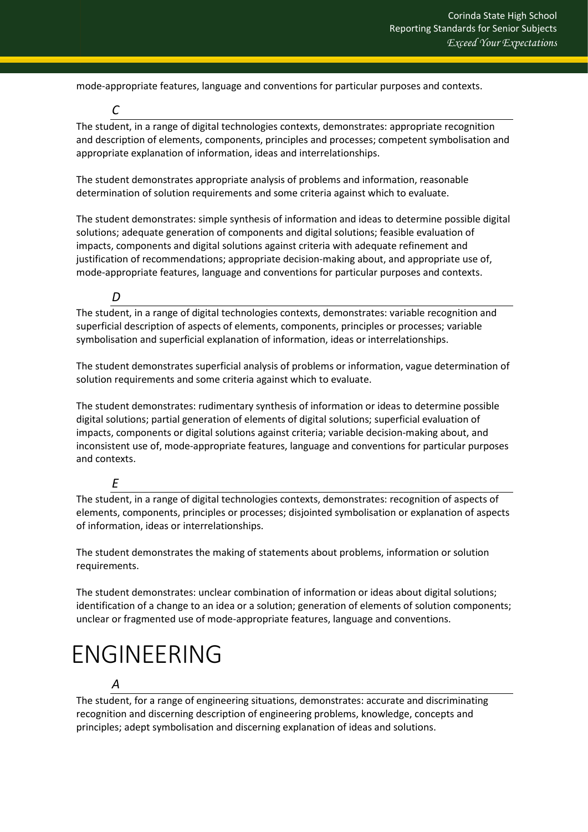mode-appropriate features, language and conventions for particular purposes and contexts.

The student, in a range of digital technologies contexts, demonstrates: appropriate recognition and description of elements, components, principles and processes; competent symbolisation and appropriate explanation of information, ideas and interrelationships.

The student demonstrates appropriate analysis of problems and information, reasonable determination of solution requirements and some criteria against which to evaluate.

The student demonstrates: simple synthesis of information and ideas to determine possible digital solutions; adequate generation of components and digital solutions; feasible evaluation of impacts, components and digital solutions against criteria with adequate refinement and justification of recommendations; appropriate decision-making about, and appropriate use of, mode-appropriate features, language and conventions for particular purposes and contexts.

*D*

*C*

The student, in a range of digital technologies contexts, demonstrates: variable recognition and superficial description of aspects of elements, components, principles or processes; variable symbolisation and superficial explanation of information, ideas or interrelationships.

The student demonstrates superficial analysis of problems or information, vague determination of solution requirements and some criteria against which to evaluate.

The student demonstrates: rudimentary synthesis of information or ideas to determine possible digital solutions; partial generation of elements of digital solutions; superficial evaluation of impacts, components or digital solutions against criteria; variable decision-making about, and inconsistent use of, mode-appropriate features, language and conventions for particular purposes and contexts.

#### *E*

The student, in a range of digital technologies contexts, demonstrates: recognition of aspects of elements, components, principles or processes; disjointed symbolisation or explanation of aspects of information, ideas or interrelationships.

The student demonstrates the making of statements about problems, information or solution requirements.

The student demonstrates: unclear combination of information or ideas about digital solutions; identification of a change to an idea or a solution; generation of elements of solution components; unclear or fragmented use of mode-appropriate features, language and conventions.

# <span id="page-39-0"></span>ENGINEERING

# *A*

The student, for a range of engineering situations, demonstrates: accurate and discriminating recognition and discerning description of engineering problems, knowledge, concepts and principles; adept symbolisation and discerning explanation of ideas and solutions.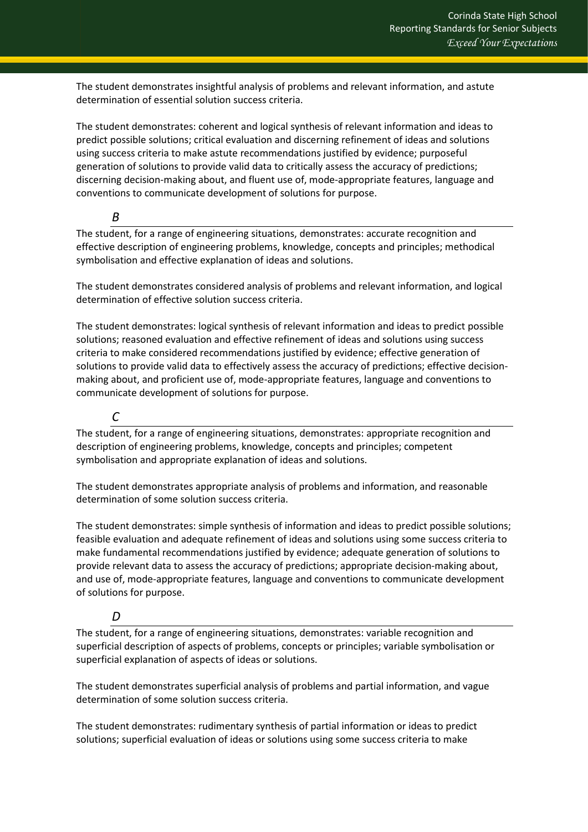The student demonstrates insightful analysis of problems and relevant information, and astute determination of essential solution success criteria.

The student demonstrates: coherent and logical synthesis of relevant information and ideas to predict possible solutions; critical evaluation and discerning refinement of ideas and solutions using success criteria to make astute recommendations justified by evidence; purposeful generation of solutions to provide valid data to critically assess the accuracy of predictions; discerning decision-making about, and fluent use of, mode-appropriate features, language and conventions to communicate development of solutions for purpose.

*B*

The student, for a range of engineering situations, demonstrates: accurate recognition and effective description of engineering problems, knowledge, concepts and principles; methodical symbolisation and effective explanation of ideas and solutions.

The student demonstrates considered analysis of problems and relevant information, and logical determination of effective solution success criteria.

The student demonstrates: logical synthesis of relevant information and ideas to predict possible solutions; reasoned evaluation and effective refinement of ideas and solutions using success criteria to make considered recommendations justified by evidence; effective generation of solutions to provide valid data to effectively assess the accuracy of predictions; effective decisionmaking about, and proficient use of, mode-appropriate features, language and conventions to communicate development of solutions for purpose.

*C*

The student, for a range of engineering situations, demonstrates: appropriate recognition and description of engineering problems, knowledge, concepts and principles; competent symbolisation and appropriate explanation of ideas and solutions.

The student demonstrates appropriate analysis of problems and information, and reasonable determination of some solution success criteria.

The student demonstrates: simple synthesis of information and ideas to predict possible solutions; feasible evaluation and adequate refinement of ideas and solutions using some success criteria to make fundamental recommendations justified by evidence; adequate generation of solutions to provide relevant data to assess the accuracy of predictions; appropriate decision-making about, and use of, mode-appropriate features, language and conventions to communicate development of solutions for purpose.

## *D*

The student, for a range of engineering situations, demonstrates: variable recognition and superficial description of aspects of problems, concepts or principles; variable symbolisation or superficial explanation of aspects of ideas or solutions.

The student demonstrates superficial analysis of problems and partial information, and vague determination of some solution success criteria.

The student demonstrates: rudimentary synthesis of partial information or ideas to predict solutions; superficial evaluation of ideas or solutions using some success criteria to make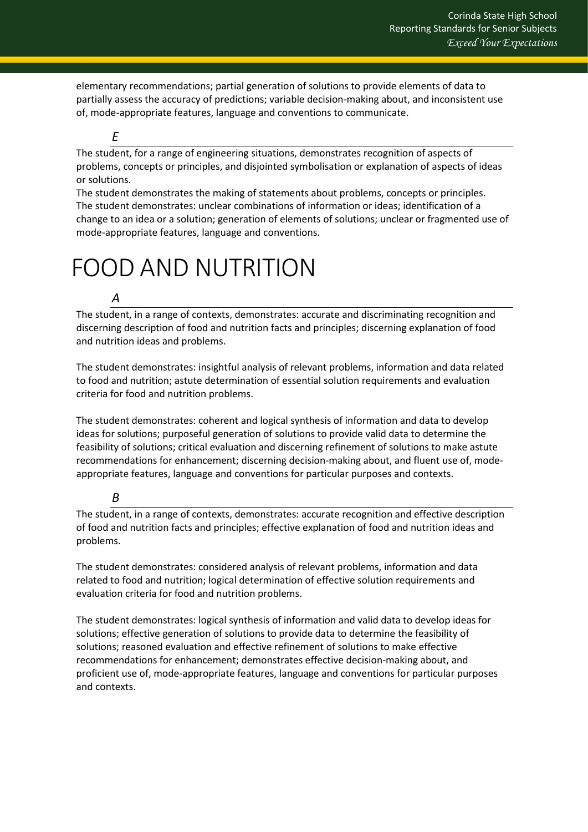elementary recommendations; partial generation of solutions to provide elements of data to partially assess the accuracy of predictions; variable decision-making about, and inconsistent use of, mode-appropriate features, language and conventions to communicate.

#### *E*

The student, for a range of engineering situations, demonstrates recognition of aspects of problems, concepts or principles, and disjointed symbolisation or explanation of aspects of ideas or solutions.

The student demonstrates the making of statements about problems, concepts or principles. The student demonstrates: unclear combinations of information or ideas; identification of a change to an idea or a solution; generation of elements of solutions; unclear or fragmented use of mode-appropriate features, language and conventions.

# <span id="page-41-0"></span>FOOD AND NUTRITION

#### *A*

The student, in a range of contexts, demonstrates: accurate and discriminating recognition and discerning description of food and nutrition facts and principles; discerning explanation of food and nutrition ideas and problems.

The student demonstrates: insightful analysis of relevant problems, information and data related to food and nutrition; astute determination of essential solution requirements and evaluation criteria for food and nutrition problems.

The student demonstrates: coherent and logical synthesis of information and data to develop ideas for solutions; purposeful generation of solutions to provide valid data to determine the feasibility of solutions; critical evaluation and discerning refinement of solutions to make astute recommendations for enhancement; discerning decision-making about, and fluent use of, modeappropriate features, language and conventions for particular purposes and contexts.

#### *B*

The student, in a range of contexts, demonstrates: accurate recognition and effective description of food and nutrition facts and principles; effective explanation of food and nutrition ideas and problems.

The student demonstrates: considered analysis of relevant problems, information and data related to food and nutrition; logical determination of effective solution requirements and evaluation criteria for food and nutrition problems.

The student demonstrates: logical synthesis of information and valid data to develop ideas for solutions; effective generation of solutions to provide data to determine the feasibility of solutions; reasoned evaluation and effective refinement of solutions to make effective recommendations for enhancement; demonstrates effective decision-making about, and proficient use of, mode-appropriate features, language and conventions for particular purposes and contexts.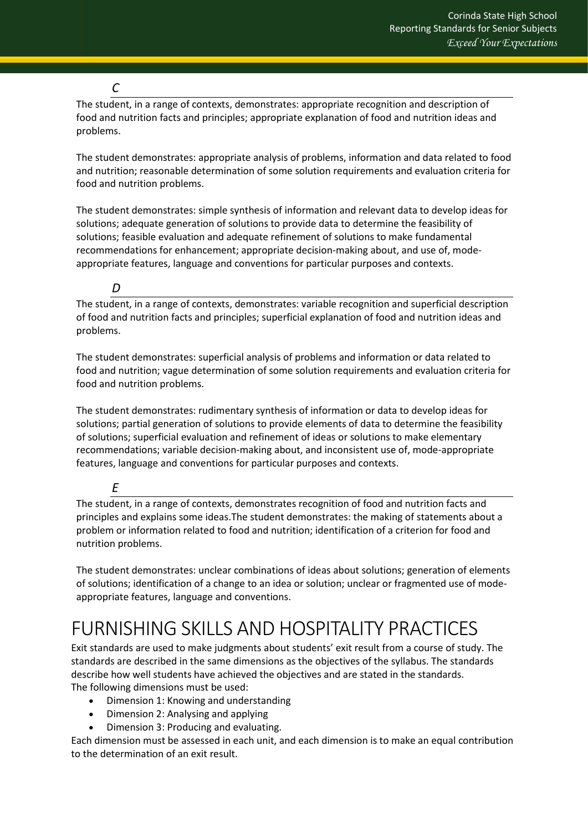#### *C*

The student, in a range of contexts, demonstrates: appropriate recognition and description of food and nutrition facts and principles; appropriate explanation of food and nutrition ideas and problems.

The student demonstrates: appropriate analysis of problems, information and data related to food and nutrition; reasonable determination of some solution requirements and evaluation criteria for food and nutrition problems.

The student demonstrates: simple synthesis of information and relevant data to develop ideas for solutions; adequate generation of solutions to provide data to determine the feasibility of solutions; feasible evaluation and adequate refinement of solutions to make fundamental recommendations for enhancement; appropriate decision-making about, and use of, modeappropriate features, language and conventions for particular purposes and contexts.

### *D*

The student, in a range of contexts, demonstrates: variable recognition and superficial description of food and nutrition facts and principles; superficial explanation of food and nutrition ideas and problems.

The student demonstrates: superficial analysis of problems and information or data related to food and nutrition; vague determination of some solution requirements and evaluation criteria for food and nutrition problems.

The student demonstrates: rudimentary synthesis of information or data to develop ideas for solutions; partial generation of solutions to provide elements of data to determine the feasibility of solutions; superficial evaluation and refinement of ideas or solutions to make elementary recommendations; variable decision-making about, and inconsistent use of, mode-appropriate features, language and conventions for particular purposes and contexts.

#### *E*

The student, in a range of contexts, demonstrates recognition of food and nutrition facts and principles and explains some ideas.The student demonstrates: the making of statements about a problem or information related to food and nutrition; identification of a criterion for food and nutrition problems.

The student demonstrates: unclear combinations of ideas about solutions; generation of elements of solutions; identification of a change to an idea or solution; unclear or fragmented use of modeappropriate features, language and conventions.

# <span id="page-42-0"></span>FURNISHING SKILLS AND HOSPITALITY PRACTICES

Exit standards are used to make judgments about students' exit result from a course of study. The standards are described in the same dimensions as the objectives of the syllabus. The standards describe how well students have achieved the objectives and are stated in the standards. The following dimensions must be used:

- Dimension 1: Knowing and understanding
- Dimension 2: Analysing and applying
- Dimension 3: Producing and evaluating.

Each dimension must be assessed in each unit, and each dimension is to make an equal contribution to the determination of an exit result.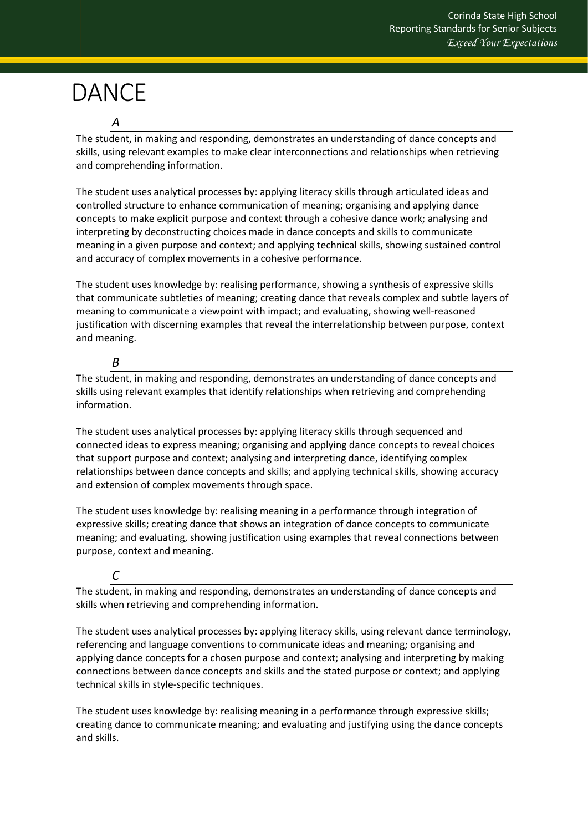# <span id="page-43-0"></span>DANCE

*A*

The student, in making and responding, demonstrates an understanding of dance concepts and skills, using relevant examples to make clear interconnections and relationships when retrieving and comprehending information.

The student uses analytical processes by: applying literacy skills through articulated ideas and controlled structure to enhance communication of meaning; organising and applying dance concepts to make explicit purpose and context through a cohesive dance work; analysing and interpreting by deconstructing choices made in dance concepts and skills to communicate meaning in a given purpose and context; and applying technical skills, showing sustained control and accuracy of complex movements in a cohesive performance.

The student uses knowledge by: realising performance, showing a synthesis of expressive skills that communicate subtleties of meaning; creating dance that reveals complex and subtle layers of meaning to communicate a viewpoint with impact; and evaluating, showing well-reasoned justification with discerning examples that reveal the interrelationship between purpose, context and meaning.

## *B*

The student, in making and responding, demonstrates an understanding of dance concepts and skills using relevant examples that identify relationships when retrieving and comprehending information.

The student uses analytical processes by: applying literacy skills through sequenced and connected ideas to express meaning; organising and applying dance concepts to reveal choices that support purpose and context; analysing and interpreting dance, identifying complex relationships between dance concepts and skills; and applying technical skills, showing accuracy and extension of complex movements through space.

The student uses knowledge by: realising meaning in a performance through integration of expressive skills; creating dance that shows an integration of dance concepts to communicate meaning; and evaluating, showing justification using examples that reveal connections between purpose, context and meaning.

## *C*

The student, in making and responding, demonstrates an understanding of dance concepts and skills when retrieving and comprehending information.

The student uses analytical processes by: applying literacy skills, using relevant dance terminology, referencing and language conventions to communicate ideas and meaning; organising and applying dance concepts for a chosen purpose and context; analysing and interpreting by making connections between dance concepts and skills and the stated purpose or context; and applying technical skills in style-specific techniques.

The student uses knowledge by: realising meaning in a performance through expressive skills; creating dance to communicate meaning; and evaluating and justifying using the dance concepts and skills.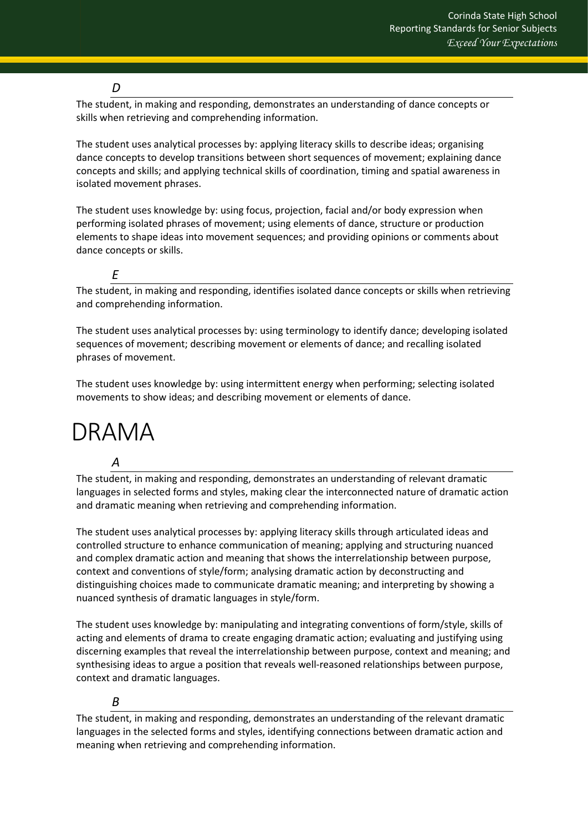### *D*

The student, in making and responding, demonstrates an understanding of dance concepts or skills when retrieving and comprehending information.

The student uses analytical processes by: applying literacy skills to describe ideas; organising dance concepts to develop transitions between short sequences of movement; explaining dance concepts and skills; and applying technical skills of coordination, timing and spatial awareness in isolated movement phrases.

The student uses knowledge by: using focus, projection, facial and/or body expression when performing isolated phrases of movement; using elements of dance, structure or production elements to shape ideas into movement sequences; and providing opinions or comments about dance concepts or skills.

*E*

The student, in making and responding, identifies isolated dance concepts or skills when retrieving and comprehending information.

The student uses analytical processes by: using terminology to identify dance; developing isolated sequences of movement; describing movement or elements of dance; and recalling isolated phrases of movement.

The student uses knowledge by: using intermittent energy when performing; selecting isolated movements to show ideas; and describing movement or elements of dance.

# <span id="page-44-0"></span>DRAMA

#### *A*

The student, in making and responding, demonstrates an understanding of relevant dramatic languages in selected forms and styles, making clear the interconnected nature of dramatic action and dramatic meaning when retrieving and comprehending information.

The student uses analytical processes by: applying literacy skills through articulated ideas and controlled structure to enhance communication of meaning; applying and structuring nuanced and complex dramatic action and meaning that shows the interrelationship between purpose, context and conventions of style/form; analysing dramatic action by deconstructing and distinguishing choices made to communicate dramatic meaning; and interpreting by showing a nuanced synthesis of dramatic languages in style/form.

The student uses knowledge by: manipulating and integrating conventions of form/style, skills of acting and elements of drama to create engaging dramatic action; evaluating and justifying using discerning examples that reveal the interrelationship between purpose, context and meaning; and synthesising ideas to argue a position that reveals well-reasoned relationships between purpose, context and dramatic languages.

## *B*

The student, in making and responding, demonstrates an understanding of the relevant dramatic languages in the selected forms and styles, identifying connections between dramatic action and meaning when retrieving and comprehending information.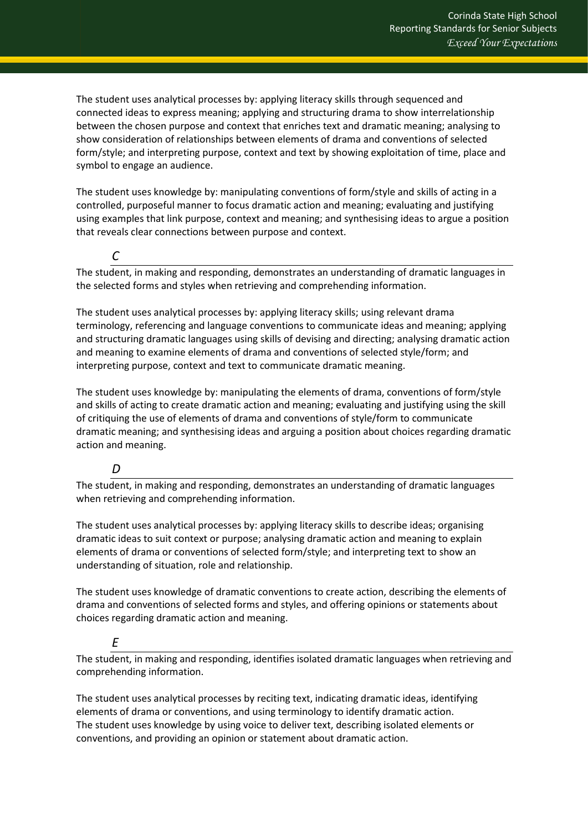The student uses analytical processes by: applying literacy skills through sequenced and connected ideas to express meaning; applying and structuring drama to show interrelationship between the chosen purpose and context that enriches text and dramatic meaning; analysing to show consideration of relationships between elements of drama and conventions of selected form/style; and interpreting purpose, context and text by showing exploitation of time, place and symbol to engage an audience.

The student uses knowledge by: manipulating conventions of form/style and skills of acting in a controlled, purposeful manner to focus dramatic action and meaning; evaluating and justifying using examples that link purpose, context and meaning; and synthesising ideas to argue a position that reveals clear connections between purpose and context.

The student, in making and responding, demonstrates an understanding of dramatic languages in the selected forms and styles when retrieving and comprehending information.

The student uses analytical processes by: applying literacy skills; using relevant drama terminology, referencing and language conventions to communicate ideas and meaning; applying and structuring dramatic languages using skills of devising and directing; analysing dramatic action and meaning to examine elements of drama and conventions of selected style/form; and interpreting purpose, context and text to communicate dramatic meaning.

The student uses knowledge by: manipulating the elements of drama, conventions of form/style and skills of acting to create dramatic action and meaning; evaluating and justifying using the skill of critiquing the use of elements of drama and conventions of style/form to communicate dramatic meaning; and synthesising ideas and arguing a position about choices regarding dramatic action and meaning.

#### *D*

*C*

The student, in making and responding, demonstrates an understanding of dramatic languages when retrieving and comprehending information.

The student uses analytical processes by: applying literacy skills to describe ideas; organising dramatic ideas to suit context or purpose; analysing dramatic action and meaning to explain elements of drama or conventions of selected form/style; and interpreting text to show an understanding of situation, role and relationship.

The student uses knowledge of dramatic conventions to create action, describing the elements of drama and conventions of selected forms and styles, and offering opinions or statements about choices regarding dramatic action and meaning.

## *E*

The student, in making and responding, identifies isolated dramatic languages when retrieving and comprehending information.

The student uses analytical processes by reciting text, indicating dramatic ideas, identifying elements of drama or conventions, and using terminology to identify dramatic action. The student uses knowledge by using voice to deliver text, describing isolated elements or conventions, and providing an opinion or statement about dramatic action.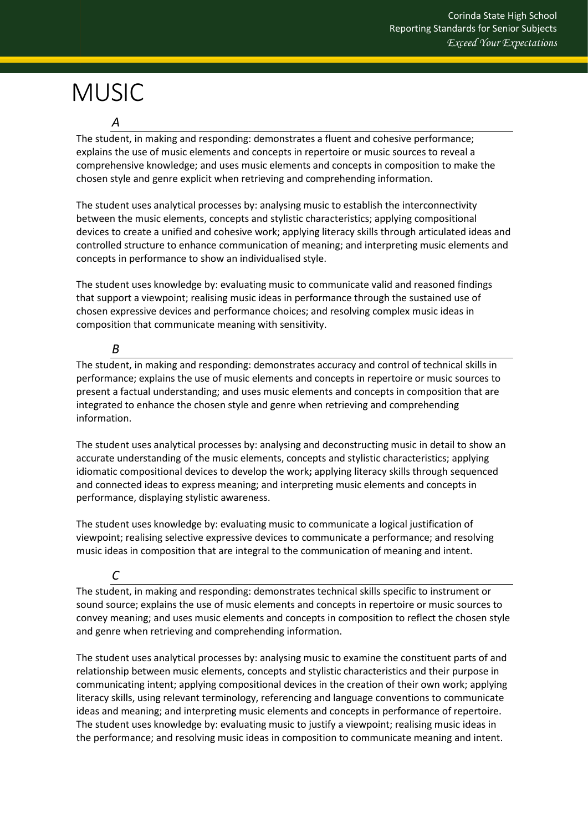# <span id="page-46-0"></span>**MUSIC**

*A*

The student, in making and responding: demonstrates a fluent and cohesive performance; explains the use of music elements and concepts in repertoire or music sources to reveal a comprehensive knowledge; and uses music elements and concepts in composition to make the chosen style and genre explicit when retrieving and comprehending information.

The student uses analytical processes by: analysing music to establish the interconnectivity between the music elements, concepts and stylistic characteristics; applying compositional devices to create a unified and cohesive work; applying literacy skills through articulated ideas and controlled structure to enhance communication of meaning; and interpreting music elements and concepts in performance to show an individualised style.

The student uses knowledge by: evaluating music to communicate valid and reasoned findings that support a viewpoint; realising music ideas in performance through the sustained use of chosen expressive devices and performance choices; and resolving complex music ideas in composition that communicate meaning with sensitivity.

*B*

The student, in making and responding: demonstrates accuracy and control of technical skills in performance; explains the use of music elements and concepts in repertoire or music sources to present a factual understanding; and uses music elements and concepts in composition that are integrated to enhance the chosen style and genre when retrieving and comprehending information.

The student uses analytical processes by: analysing and deconstructing music in detail to show an accurate understanding of the music elements, concepts and stylistic characteristics; applying idiomatic compositional devices to develop the work**;** applying literacy skills through sequenced and connected ideas to express meaning; and interpreting music elements and concepts in performance, displaying stylistic awareness.

The student uses knowledge by: evaluating music to communicate a logical justification of viewpoint; realising selective expressive devices to communicate a performance; and resolving music ideas in composition that are integral to the communication of meaning and intent.

## *C*

The student, in making and responding: demonstrates technical skills specific to instrument or sound source; explains the use of music elements and concepts in repertoire or music sources to convey meaning; and uses music elements and concepts in composition to reflect the chosen style and genre when retrieving and comprehending information.

The student uses analytical processes by: analysing music to examine the constituent parts of and relationship between music elements, concepts and stylistic characteristics and their purpose in communicating intent; applying compositional devices in the creation of their own work; applying literacy skills, using relevant terminology, referencing and language conventions to communicate ideas and meaning; and interpreting music elements and concepts in performance of repertoire. The student uses knowledge by: evaluating music to justify a viewpoint; realising music ideas in the performance; and resolving music ideas in composition to communicate meaning and intent.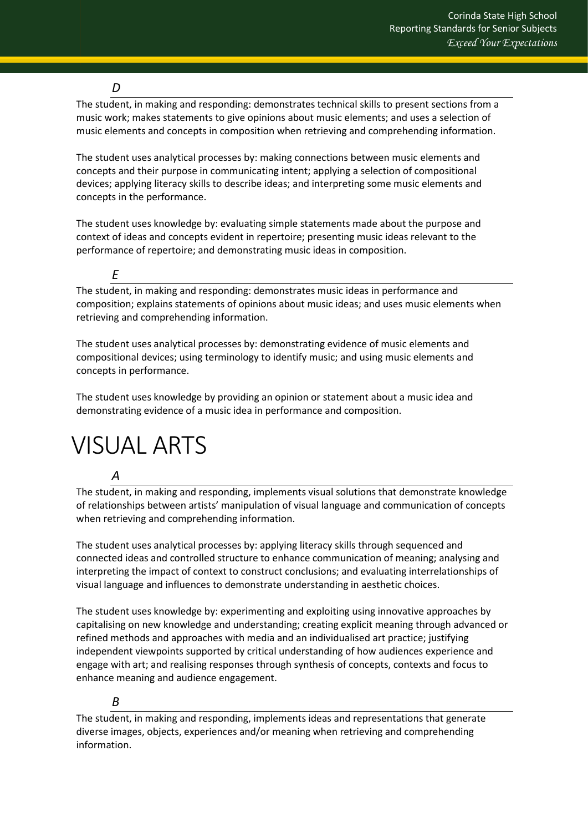### *D*

The student, in making and responding: demonstrates technical skills to present sections from a music work; makes statements to give opinions about music elements; and uses a selection of music elements and concepts in composition when retrieving and comprehending information.

The student uses analytical processes by: making connections between music elements and concepts and their purpose in communicating intent; applying a selection of compositional devices; applying literacy skills to describe ideas; and interpreting some music elements and concepts in the performance.

The student uses knowledge by: evaluating simple statements made about the purpose and context of ideas and concepts evident in repertoire; presenting music ideas relevant to the performance of repertoire; and demonstrating music ideas in composition.

The student, in making and responding: demonstrates music ideas in performance and composition; explains statements of opinions about music ideas; and uses music elements when retrieving and comprehending information.

The student uses analytical processes by: demonstrating evidence of music elements and compositional devices; using terminology to identify music; and using music elements and concepts in performance.

The student uses knowledge by providing an opinion or statement about a music idea and demonstrating evidence of a music idea in performance and composition.

# <span id="page-47-0"></span>VISUAL ARTS

#### *A*

*E*

The student, in making and responding, implements visual solutions that demonstrate knowledge of relationships between artists' manipulation of visual language and communication of concepts when retrieving and comprehending information.

The student uses analytical processes by: applying literacy skills through sequenced and connected ideas and controlled structure to enhance communication of meaning; analysing and interpreting the impact of context to construct conclusions; and evaluating interrelationships of visual language and influences to demonstrate understanding in aesthetic choices.

The student uses knowledge by: experimenting and exploiting using innovative approaches by capitalising on new knowledge and understanding; creating explicit meaning through advanced or refined methods and approaches with media and an individualised art practice; justifying independent viewpoints supported by critical understanding of how audiences experience and engage with art; and realising responses through synthesis of concepts, contexts and focus to enhance meaning and audience engagement.

## *B*

The student, in making and responding, implements ideas and representations that generate diverse images, objects, experiences and/or meaning when retrieving and comprehending information.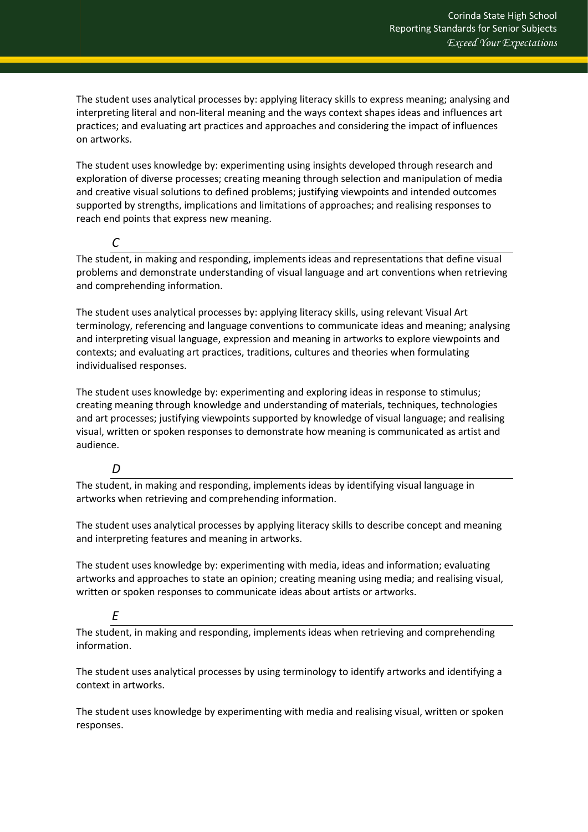The student uses analytical processes by: applying literacy skills to express meaning; analysing and interpreting literal and non-literal meaning and the ways context shapes ideas and influences art practices; and evaluating art practices and approaches and considering the impact of influences on artworks.

The student uses knowledge by: experimenting using insights developed through research and exploration of diverse processes; creating meaning through selection and manipulation of media and creative visual solutions to defined problems; justifying viewpoints and intended outcomes supported by strengths, implications and limitations of approaches; and realising responses to reach end points that express new meaning.

The student, in making and responding, implements ideas and representations that define visual problems and demonstrate understanding of visual language and art conventions when retrieving and comprehending information.

The student uses analytical processes by: applying literacy skills, using relevant Visual Art terminology, referencing and language conventions to communicate ideas and meaning; analysing and interpreting visual language, expression and meaning in artworks to explore viewpoints and contexts; and evaluating art practices, traditions, cultures and theories when formulating individualised responses.

The student uses knowledge by: experimenting and exploring ideas in response to stimulus; creating meaning through knowledge and understanding of materials, techniques, technologies and art processes; justifying viewpoints supported by knowledge of visual language; and realising visual, written or spoken responses to demonstrate how meaning is communicated as artist and audience.

#### *D*

*C*

The student, in making and responding, implements ideas by identifying visual language in artworks when retrieving and comprehending information.

The student uses analytical processes by applying literacy skills to describe concept and meaning and interpreting features and meaning in artworks.

The student uses knowledge by: experimenting with media, ideas and information; evaluating artworks and approaches to state an opinion; creating meaning using media; and realising visual, written or spoken responses to communicate ideas about artists or artworks.

## *E*

The student, in making and responding, implements ideas when retrieving and comprehending information.

The student uses analytical processes by using terminology to identify artworks and identifying a context in artworks.

The student uses knowledge by experimenting with media and realising visual, written or spoken responses.